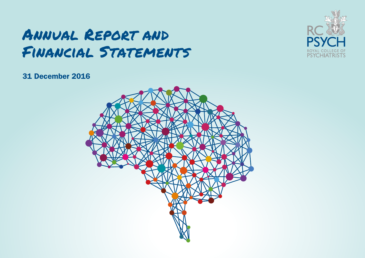# Annual Report and Financial Statements



# 31 December 2016

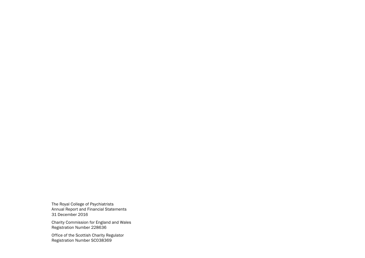The Royal College of Psychiatrists Annual Report and Financial Statements 31 December 2016

Charity Commission for England and Wales Registration Number 228636

Office of the Scottish Charity Regulator Registration Number SC038369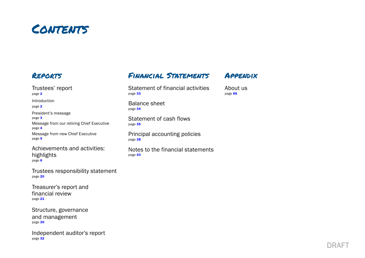

# Reports

[Trustees' report](#page-3-0)  [page](#page-3-0) 2 [Introduction](#page-3-0)  [page](#page-3-0) 2 [President's message](#page-4-0)  [page](#page-4-0) 3 [Message from our retiring Chief Executive](#page-5-0)  [page](#page-5-0) 4 [Message from new Chief Executive](#page-6-0)  [page](#page-6-0) [5](#page-6-0)

[Achievements and activities:](#page-7-0)  [highlights](#page-7-0)  [page](#page-7-0) [6](#page-7-0)

Trustees responsibility statemen[t](#page-21-0)  [page](#page-21-0) [20](#page-21-0)

[Treasurer's report and](#page-22-0)  [financial review](#page-22-0) [page](#page-22-0) [21](#page-22-0)

[Structure, governance](#page-31-0)  [and management](#page-31-0) [page](#page-31-0) [30](#page-31-0)

[Independent auditor's report](#page-33-0)  [page](#page-33-0) 32

# Financial Statements

[Statement of financial activities](#page-34-0) [page](#page-34-0) 33

Appendix

[About us](#page-67-0) [page](#page-67-0) [6](#page-67-0)6

[Balance sheet](#page-35-0)  [page](#page-35-0) 34

[Statement of cash flows](#page-36-0)  [page](#page-36-0) 35

[Principal accounting policies](#page-39-0)  [page](#page-39-0) 38

[Notes to the financial statements](#page-44-0) [page](#page-44-0) 43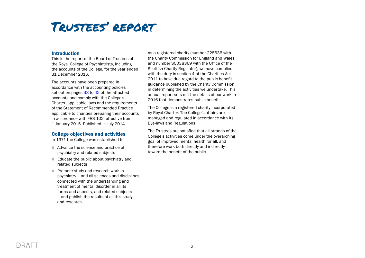# <span id="page-3-0"></span>Trustees' report

# Introduction

This is the report of the Board of Trustees of the Royal College of Psychiatrists, including the accounts of the College, for the year ended 31 December 2016.

The accounts have been prepared in accordance with the accounting policies set out on pages [38](#page-39-0) to [42](#page-43-0) of the attached accounts and comply with the College's Charter, applicable laws and the requirements of the Statement of Recommended Practice applicable to charities preparing their accounts in accordance with FRS 102, effective from 1 January 2015. Published in July 2014.

# College objectives and activities

In 1971 the College was established to:

- Advance the science and practice of psychiatry and related subjects
- $\bullet$  Educate the public about psychiatry and related subjects
- **Promote study and research work in** psychiatry – and all sciences and disciplines connected with the understanding and treatment of mental disorder in all its forms and aspects, and related subjects – and publish the results of all this study and research.

As a registered charity (number 228636 with the Charity Commission for England and Wales and number SC038369 with the Office of the Scottish Charity Regulator), we have complied with the duty in section 4 of the Charities Act 2011 to have due regard to the public benefit guidance published by the Charity Commission in determining the activities we undertake. This annual report sets out the details of our work in 2016 that demonstrates public benefit.

The College is a registered charity incorporated by Royal Charter. The College's affairs are managed and regulated in accordance with its Bye-laws and Regulations.

The Trustees are satisfied that all strands of the College's activities come under the overarching goal of improved mental health for all, and therefore work both directly and indirectly toward the benefit of the public.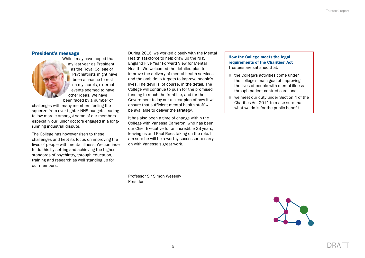# <span id="page-4-0"></span>President's message



While I may have hoped that my last year as President as the Royal College of Psychiatrists might have been a chance to rest on my laurels, external events seemed to have other ideas. We have been faced by a number of

challenges with many members feeling the squeeze from ever tighter NHS budgets leading to low morale amongst some of our members especially our junior doctors engaged in a longrunning industrial dispute.

The College has however risen to these challenges and kept its focus on improving the lives of people with mental illness. We continue to do this by setting and achieving the highest standards of psychiatry, through education, training and research as well standing up for our members.

During 2016, we worked closely with the Mental Health Taskforce to help draw up the NHS England Five Year Forward View for Mental Health. We welcomed the detailed plan to improve the delivery of mental health services and the ambitious targets to improve people's lives. The devil is, of course, in the detail. The College will continue to push for the promised funding to reach the frontline, and for the Government to lay out a clear plan of how it will ensure that sufficient mental health staff will be available to deliver the strategy.

It has also been a time of change within the College with Vanessa Cameron, who has been our Chief Executive for an incredible 33 years, leaving us and Paul Rees taking on the role. I am sure he will be a worthy successor to carry on with Vanessa's great work.

Professor Sir Simon Wessely President

# How the College meets the legal requirements of the Charities' Act Trustees are satisfied that:

- $\bullet$  the College's activities come under the college's main goal of improving the lives of people with mental illness through patient-centred care, and
- $\bullet$  we meet our duty under Section 4 of the Charities Act 2011 to make sure that what we do is for the public benefit

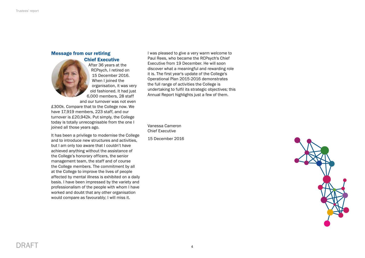# <span id="page-5-0"></span>Message from our retiring

# Chief Executive



After 36 years at the RCPsych, I retired on 15 December 2016. When I joined the organisation, it was very old fashioned. It had just 6,000 members, 28 staff and our turnover was not even

£300k. Compare that to the College now. We have 17,919 members, 223 staff, and our turnover is £20,942k. Put simply, the College today is totally unrecognisable from the one I joined all those years ago.

It has been a privilege to modernise the College and to introduce new structures and activities, but I am only too aware that I couldn't have achieved anything without the assistance of the College's honorary officers, the senior management team, the staff and of course the College members. The commitment by all at the College to improve the lives of people affected by mental illness is exhibited on a daily basis. I have been impressed by the variety and professionalism of the people with whom I have worked and doubt that any other organisation would compare as favourably; I will miss it.

I was pleased to give a very warm welcome to Paul Rees, who became the RCPsych's Chief Executive from 19 December. He will soon discover what a meaningful and rewarding role it is. The first year's update of the College's Operational Plan 2015-2016 demonstrates the full range of activities the College is undertaking to fulfil its strategic objectives; this Annual Report highlights just a few of them.

Vanessa Cameron Chief Executive

15 December 2016



DRAFT 4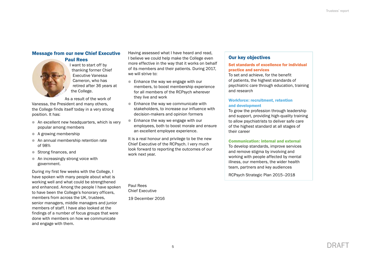# <span id="page-6-0"></span>Message from our new Chief Executive

# Paul Rees



I want to start off by thanking former Chief Executive Vanessa Cameron, who has retired after 36 years at the College.

As a result of the work of Vanessa, the President and many others, the College finds itself today in a very strong position. It has:

- $\bullet$  An excellent new headquarters, which is very popular among members
- $\bullet$  A growing membership
- An annual membership retention rate of 98%
- Strong finances, and
- $\bullet$  An increasingly strong voice with government.

During my first few weeks with the College, I have spoken with many people about what is working well and what could be strengthened and enhanced. Among the people I have spoken to have been the College's honorary officers, members from across the UK, trustees, senior managers, middle managers and junior members of staff. I have also looked at the findings of a number of focus groups that were done with members on how we communicate and engage with them.

Having assessed what I have heard and read, I believe we could help make the College even more effective in the way that it works on behalf of its members and their patients. During 2017, we will strive to:

- Enhance the way we engage with our members, to boost membership experience for all members of the RCPsych wherever they live and work
- $\bullet$  Enhance the way we communicate with stakeholders, to increase our influence with decision-makers and opinion formers
- Enhance the way we engage with our employees, both to boost morale and ensure an excellent employee experience.

It is a real honour and privilege to be the new Chief Executive of the RCPsych. I very much look forward to reporting the outcomes of our work next year.

Paul Rees Chief Executive

19 December 2016

# Our key objectives

# Set standards of excellence for individual practice and services

To set and achieve, for the benefit of patients, the highest standards of psychiatric care through education, training and research

# Workforce: recruitment, retention and development

To grow the profession through leadership and support, providing high-quality training to allow psychiatrists to deliver safe care of the highest standard at all stages of their career

# Communication: internal and external

To develop standards, improve services and remove stigma by involving and working with people affected by mental illness, our members, the wider health team, partners and key audiences

RCPsych Strategic Plan 2015–2018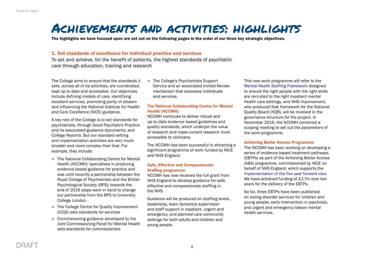# <span id="page-7-0"></span>Achievements and activities: highlights

The highlights we have focused upon are set out on the following pages in the order of our three key strategic objectives.

# 1. Set standards of excellence for individual practice and services

To set and achieve, for the benefit of patients, the highest standards of psychiatric care through education, training and research

The College aims to ensure that the standards it sets, across all of its activities, are coordinated, kept up to date and accessible. Our objectives include defining models of care, identifying excellent services, promoting parity of esteem and influencing the National Institute for Health and Care Excellence (NICE) guidance.

A key role of the College is to set standards for psychiatrists, through Good Psychiatric Practice and its associated guidance documents, and College Reports. But our standard setting and implementation activities are very much broader and more complex than that. For example, they include:

- The National Collaborating Centre for Mental Health (NCCMH): specialises in producing evidence-based guidance for practice and was until recently a partnership between the Royal College of Psychiatrists and the British Psychological Society (BPS); towards the end of 2016 steps were in hand to change our partnership from the BPS to University College London
- The College Centre for Quality Improvement (CCQI) sets standards for services
- $\bullet$  Commissioning guidance developed by the Joint Commissioning Panel for Mental Health sets standards for commissioners

■ The College's Psychiatrists Support Service and an associated Invited Review mechanism that assesses individuals and services.

# The National Collaborating Centre for Mental Health (NCCMH)

NCCMH continues to deliver robust and up-to-date evidence-based guidelines and quality standards, which underpin the value of research and make current research more accessible to clinicians.

The NCCMH has been successful in attracting a significant programme of work funded by NICE and NHS England.

# Safe, Effective and Compassionate Staffing programme

NCCMH has now received the full grant from NHS England to develop guidance for safe, effective and compassionate staffing in the NHS.

Guidance will be produced on staffing levels, leadership, team dynamics supervision and staff support in inpatient, urgent and emergency, and planned care community settings for both adults and children and young people.

This new work programme will refer to the [Mental Health Staffing Framework](https://www.england.nhs.uk/6cs/wp-content/uploads/sites/25/2015/06/mh-staffing-v4.pdf) designed to ensure the right people with the right skills are recruited to the right inpatient mental health care settings, and NHS Improvement, who produced that framework for the National Quality Board (NQB), will be involved in the governance structure for the project. In November 2016, the NCCMH convened a scoping meeting to set out the parameters of the work programme.

## Achieving Better Access Programme

The NCCMH has been working on developing a series of evidence-based treatment pathways (EBTPs) as part of the Achieving Better Access (ABA) programme, commissioned by NICE on behalf of NHS England, which supports the [implementation of the five year forward view](https://www.england.nhs.uk/wp-content/uploads/2016/07/fyfv-mh.pdf). We have achieved funding of £2.7m over two years for the delivery of the EBTPs.

So far, three EBTPs have been published; on eating disorder services for children and young people, early intervention in psychosis, and urgent and emergency liaison mental health services.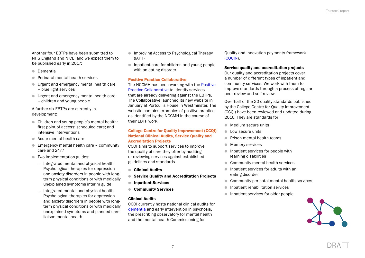Another four EBTPs have been submitted to NHS England and NICE, and we expect them to be published early in 2017:

- **n** Dementia
- **Perinatal mental health services**
- **I** Urgent and emergency mental health care – blue light services
- **In Urgent and emergency mental health care** – children and young people

A further six EBTPs are currently in development:

- Children and young people's mental health: first point of access; scheduled care; and intensive interventions
- $\bullet$  Acute mental health care
- $\bullet$  Emergency mental health care community care and 24/7
- $\bullet$  Two Implementation guides:
	- Integrated mental and physical health: Psychological therapies for depression and anxiety disorders in people with longterm physical conditions or with medically unexplained symptoms interim guide
	- Integrated mental and physical health: Psychological therapies for depression and anxiety disorders in people with longterm physical conditions or with medically unexplained symptoms and planned care liaison mental health
- **Improving Access to Psychological Therapy** (IAPT)
- $\bullet$  Inpatient care for children and young people with an eating disorder

# Positive Practice Collaborative

The NCCMH has been working with the [Positive](http://positivepracticemh.com/)  [Practice Collaborative](http://positivepracticemh.com/) to identify services that are already delivering against the EBTPs. The Collaborative launched its new website in January at Portcullis House in Westminster. The website contains examples of positive practice as identified by the NCCMH in the course of their EBTP work.

# College Centre for Quality Improvement (CCQI) National Clinical Audits, Service Quality and Accreditation Projects

CCQI aims to support services to improve the quality of care they offer by auditing or reviewing services against established guidelines and standards.

- **Clinical Audits**
- Service Quality and Accreditation Projects
- **Inpatient Services**
- Community Services

# Clinical Audits

CCQI currently hosts national clinical audits for [dementia](http://www.rcpsych.ac.uk/workinpsychiatry/qualityimprovement/nationalclinicalaudits/dementia.aspx) and early intervention in psychosis, the prescribing observatory for mental health and the mental health Commissioning for

Quality and Innovation payments framework [\(CQUIN](http://www.rcpsych.ac.uk/workinpsychiatry/qualityimprovement/cquin.aspx)).

# Service quality and accreditation projects

Our quality and accreditation projects cover a number of different types of inpatient and community services. We work with them to improve standards through a process of regular peer review and self review.

Over half of the 20 quality standards published by the College Centre for Quality Improvement (CCQI) have been reviewed and updated during 2016. They are standards for:

- $\bullet$  Medium secure units
- **Low secure units**
- **Prison mental health teams**
- **Memory services**
- $\bullet$  Inpatient services for people with learning disabilities
- **Community mental health services**
- $\bullet$  Inpatient services for adults with an eating disorder
- Community perinatal mental health services
- **Inpatient rehabilitation services**
- **Inpatient services for older people**

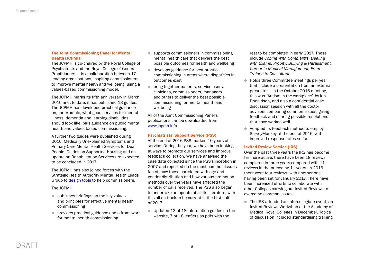# The Joint Commissioning Panel for Mental Health (JCPMH)

The JCPMH is co-chaired by the Royal College of Psychiatrists and the Royal College of General Practitioners. It is a collaboration between 17 leading organisations, inspiring commissioners to improve mental health and wellbeing, using a values-based commissioning model.

The JCPMH marks its fifth anniversary in March 2016 and, to date, it has published 18 guides. The JCPMH has developed practical guidance on, for example, what good services for mental illness, dementia and learning disabilities should look like, plus guidance on public mental health and values-based commissioning.

A further two guides were published during 2016: Medically Unexplained Symptoms and Primary Care Mental Health Services for Deaf People. Guides on Supported Housing and an update on Rehabilitation Services are expected to be concluded in 2017.

The JCPMH has also joined forces with the Strategic Health Authority Mental Health Leads Group to [design tools](http://www.jcpmh.info/) to help commissioners.

The JCPMH:

- $\bullet$  publishes briefings on the key values and principles for effective mental health commissioning
- $\bullet$  provides practical guidance and a framework for mental health commissioning
- $\bullet$  supports commissioners in commissioning mental health care that delivers the best possible outcomes for health and wellbeing
- $\bullet$  develops guidance for best practice commissioning in areas where disparities in outcomes exist
- $\bullet$  bring together patients, service users, clinicians, commissioners, managers and others to deliver the best possible commissioning for mental health and wellbeing

All of the Joint Commissioning Panel's publications can be downloaded from [www.jcpmh.info](http://www.jcpmh.info).

# Psychiatrists' Support Service (PSS)

At the end of 2016 PSS marked 10 years of service. During the year, we have been looking at ways to promote our services and improve feedback collection. We have analysed the case data collected since the PSS's inception in 2007 and reported on the most common issues faced, how these correlated with age and gender distribution and how various promotion methods over the years have affected the number of calls received. The PSS also began to undertake an update of all its literature, with this all on track to be current in the first half of 2017.

• Updated 13 of 18 information guides on the website, 7 of 18 leaflets as pdfs with the

rest to be completed in early 2017. These include *Coping With Complaints, Dealing with Exams, Probity, Bullying & Harassment, Career in Medical Management, From Trainee to Consultant*

- Holds three Committee meetings per year that include a presentation from an external presenter – in the October 2016 meeting, this was "Autism in the workplace" by Ian Donaldson, and also a confidential case discussion session with all the doctor advisors comparing common issues, giving feedback and sharing possible resolutions that have worked well.
- Adapted its feedback method to employ SurveyMonkey at the end of 2016, with improved response rates so far.

# Invited Review Service (IRS)

Over the past three years the IRS has become far more active: there have been 18 reviews completed in three years compared with 11 reviews in the preceding 11 years. In 2016 there were four reviews, with another one having been set for January 2017. There have been increased efforts to collaborate with other Colleges carrying out Invited Reviews to overcome common issues:

● The IRS attended an intercollegiate event, an Invited Reviews Workshop at the Academy of Medical Royal Colleges in December. Topics of discussion included standardising training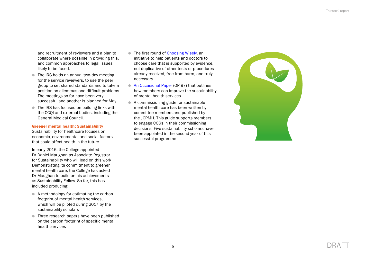and recruitment of reviewers and a plan to collaborate where possible in providing this, and common approaches to legal issues likely to be faced.

- The IRS holds an annual two-day meeting for the service reviewers, to use the peer group to set shared standards and to take a position on dilemmas and difficult problems. The meetings so far have been very successful and another is planned for May.
- The IRS has focused on building links with the CCQI and external bodies, including the General Medical Council.

#### Greener mental health: Sustainability

Sustainability for healthcare focuses on economic, environmental and social factors that could affect health in the future.

In early 2016, the College appointed Dr Daniel Maughan as Associate Registrar for Sustainability who will lead on this work. Demonstrating its commitment to greener mental health care, the College has asked Dr Maughan to build on his achievements as Sustainability Fellow. So far, this has included producing:

- $\bullet$  A methodology for estimating the carbon footprint of mental health services. which will be piloted during 2017 by the sustainability scholars
- Three research papers have been published on the carbon footprint of specific mental health services
- The first round of [Choosing Wisely,](http://www.rcpsych.ac.uk/healthadvice/choosingwisely.aspx) an initiative to help patients and doctors to choose care that is supported by evidence, not duplicative of other tests or procedures already received, free from harm, and truly necessary
- **[An Occasional Paper](http://www.rcpsych.ac.uk/usefulresources/publications/collegereports/op/op97.aspx) (OP 97) that outlines** how members can improve the sustainability of mental health services
- $\bullet$  A commissioning guide for sustainable mental health care has been written by committee members and published by the JCPMH. This guide supports members to engage CCGs in their commissioning decisions. Five sustainability scholars have been appointed in the second year of this successful programme

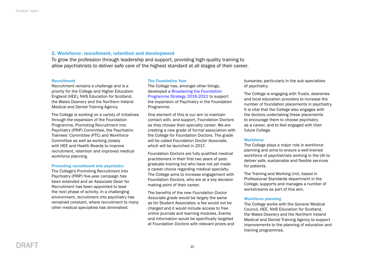# 2. Workforce: recruitment, retention and development

To grow the profession through leadership and support, providing high-quality training to allow psychiatrists to deliver safe care of the highest standard at all stages of their career.

#### **Recruitment**

Recruitment remains a challenge and is a priority for the College and Higher Education England (HEE), NHS Education for Scotland, the Wales Deanery and the Northern Ireland Medical and Dental Training Agency.

The College is working on a variety of initiatives through the expansion of the Foundation Programme, Promoting Recruitment into Psychiatry (PRIP) Committee, the Psychiatric Trainees' Committee (PTC) and Workforce Committee as well as working closely with HEE and Health Boards to improve recruitment, retention and improved medical workforce planning.

#### Promoting recruitment into psychiatry

The College's Promoting Recruitment into Psychiatry (PRIP) five-year campaign has been extended and an Associate Dean for Recruitment has been appointed to lead the next phase of activity. In a challenging environment, recruitment into psychiatry has remained constant, where recruitment to many other medical specialties has diminished.

#### The Foundation Year

The College has, amongst other things, developed a [Broadening the Foundation](http://www.rcpsych.ac.uk/discoverpsychiatry/foundationdoctors.aspx)  [Programme Strategy 2016-2021](http://www.rcpsych.ac.uk/discoverpsychiatry/foundationdoctors.aspx) to support the expansion of Psychiatry in the Foundation Programme.

One element of this is our aim to maintain contact with, and support, Foundation Doctors as they choose their specialty career. We are creating a new grade of formal association with the College for Foundation Doctors. The grade will be called *Foundation Doctor Associate*, which will be launched in 2017.

Foundation Doctors are fully qualified medical practitioners in their first two years of postgraduate training but who have not yet made a career choice regarding medical specialty. The College aims to increase engagement with Foundation Doctors, who are at a key decision making point of their career.

The benefits of the new *Foundation Doctor Associate grade* would be largely the same as for Student Associates: a fee would not be charged and it would include access to free online journals and learning modules. Events and information would be specifically targeted at Foundation Doctors with relevant prizes and

bursaries; particularly in the sub-specialties of psychiatry.

The College is engaging with Trusts, deaneries and local education providers to increase the number of foundation placements in psychiatry. It is vital that the College also engages with the doctors undertaking these placements to encourage them to choose psychiatry as a career, and to feel engaged with their future College.

# **Workforce**

The College plays a major role in workforce planning and aims to ensure a well-trained workforce of psychiatrists working in the UK to deliver safe, sustainable and flexible services for patients.

The Training and Working Unit, based in Professional Standards department in the College, supports and manages a number of workstreams as part of this aim.

#### Workforce planning

The College works with the General Medical Council, HEE, NHS Education for Scotland, the Wales Deanery and the Northern Ireland Medical and Dental Training Agency to support improvements to the planning of education and training programmes.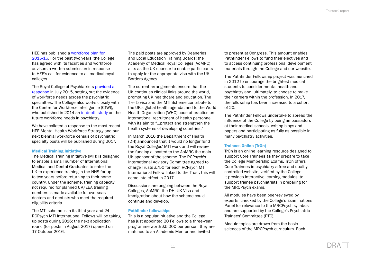#### HEE has published a [workforce plan for](http://hee.nhs.uk/wp-content/blogs.dir/321/files/2012/08/HEE-investing-in-people-2015.pdf)

[2015-16](http://hee.nhs.uk/wp-content/blogs.dir/321/files/2012/08/HEE-investing-in-people-2015.pdf). For the past two years, the College has agreed with its faculties and workforce advisors a written submission in response to HEE's call for evidence to all medical royal colleges.

The Royal College of Psychiatrists [provided a](http://www.rcpsych.ac.uk/pdf/HEE%20Call%20for%20Evidence%202015-16%20(RCPsych).pdf)  [response](http://www.rcpsych.ac.uk/pdf/HEE%20Call%20for%20Evidence%202015-16%20(RCPsych).pdf) in July 2015, setting out the evidence of workforce needs across the psychiatric specialties. The College also works closely with the Centre for Workforce Intelligence (CfWI), who published in 2014 an [in-depth study](http://www.cfwi.org.uk/our-work/medical-and-dental-workforce-reviews/medical-specialties/psychiatry-in-depth-review) on the future workforce needs in psychiatry.

We have collated a response to the most recent HEE Mental Health Workforce Strategy and our next biennial workforce census of psychiatric specialty posts will be published during 2017.

#### Medical Training Initiative

The Medical Training Initiative (MTI) is designed to enable a small number of International Medical and Dental Graduates to enter the UK to experience training in the NHS for up to two years before returning to their home country. Under the scheme, training capacity not required for planned UK/EEA training numbers is made available for overseas doctors and dentists who meet the required eligibility criteria.

The MTI scheme is in its third year and 24 RCPsych MTI International Fellows will be taking up posts during 2016; the next application round (for posts in August 2017) opened on 17 October 2016.

The paid posts are approved by Deaneries and Local Education Training Boards; the Academy of Medical Royal Colleges (AoMRC) acts as the UK sponsor to enable participants to apply for the appropriate visa with the UK Borders Agency.

The current arrangements ensure that the UK continues clinical links around the world, promoting UK healthcare and education. The Tier 5 visa and the MTI Scheme contribute to the UK's global health agenda, and to the World Health Organization (WHO) code of practice on international recruitment of health personnel with its aim to "...protect and strengthen the health systems of developing countries."

In March 2016 the Department of Health (DH) announced that it would no longer fund the Royal Colleges' MTI work and will review the funding allocated to the AoMRC the main UK sponsor of the scheme. The RCPsych's International Advisory Committee agreed to charge Trusts £750 for each RCPsych MTI International Fellow linked to the Trust; this will come into effect in 2017.

Discussions are ongoing between the Royal Colleges, AoMRC, the DH, UK Visa and Immigration about how the scheme could continue and develop.

#### Pathfinder fellowships

This is a popular initiative and the College has just appointed 20 Fellows to a three-year programme worth £5,000 per person, they are matched to an Academic Mentor and invited

to present at Congress. This amount enables Pathfinder Fellows to fund their electives and to access continuing professional development materials through the College and our website.

The Pathfinder Fellowship project was launched in 2012 to encourage the brightest medical students to consider mental health and psychiatry and, ultimately, to choose to make their careers within the profession. In 2017, the fellowship has been increased to a cohort of 20.

The Pathfinder Fellows undertake to spread the influence of the College by being ambassadors at their medical schools, writing blogs and papers and participating as fully as possible in many psychiatry activities.

## Trainees Online (TrOn)

TrOn is an online learning resource designed to support Core Trainees as they prepare to take the College Membership Exams. TrOn offers Core Trainees in psychiatry a free and qualitycontrolled website, verified by the College. It provides interactive learning modules, to support trainee psychiatrists in preparing for the MRCPsych exams.

All modules have been peer-reviewed by experts, checked by the College's Examinations Panel for relevance to the MRCPsych syllabus and are supported by the College's Psychiatric Trainees' Committee (PTC).

Module topics are drawn from the basic sciences of the MRCPsych curriculum. Each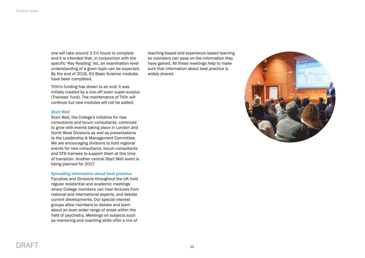one will take around 1-1½ hours to complete and it is intended that, in conjunction with the specific 'Key Reading' list, an examination-level understanding of a given topic can be expected. By the end of 2016, 63 Basic Science modules have been completed.

TrOn's funding has drawn to an end; it was initially created by a one-off exam super-surplus (Trainees' fund). The maintenance of TrOn will continue but new modules will not be added.

#### Start Well

Start Well, the College's initiative for new consultants and locum consultants, continues to grow with events taking place in London and North West Divisions as well as presentations to the Leadership & Management Committee. We are encouraging divisions to hold regional events for new consultants, locum consultants and ST6 trainees to support them at this time of transition. Another central Start Well event is being planned for 2017.

#### Spreading information about best practice

Faculties and Divisions throughout the UK hold regular residential and academic meetings where College members can hear lectures from national and international experts, and debate current developments. Our special interest groups allow members to debate and learn about an even wider range of areas within the field of psychiatry. Meetings on subjects such as mentoring and coaching skills offer a mix of

teaching-based and experience-based learning so members can pass on the information they have gained. All these meetings help to make sure that information about best practice is widely shared.



# DRAFT 12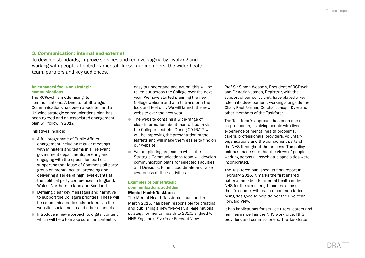# 3. Communication: internal and external

To develop standards, improve services and remove stigma by involving and working with people affected by mental illness, our members, the wider health team, partners and key audiences.

# An enhanced focus on strategic communications

The RCPsych is modernising its communications. A Director of Strategic Communications has been appointed and a UK-wide strategic communications plan has been agreed and an associated engagement plan will follow in 2017.

#### Initiatives include:

- A full programme of Public Affairs engagement including regular meetings with Ministers and teams in all relevant government departments; briefing and engaging with the opposition parties; supporting the House of Commons all party group on mental health; attending and delivering a series of high level events at the political party conferences in England, Wales, Northern Ireland and Scotland
- **Defining clear key messages and narrative** to support the College's priorities. These will be communicated to stakeholders via the website, social media and other channels
- $\bullet$  Introduce a new approach to digital content which will help to make sure our content is

easy to understand and act on; this will be rolled out across the College over the next year. We have started planning the new College website and aim to transform the look and feel of it. We will launch the new website over the next year

- $\bullet$  The website contains a wide-range of clear information about mental health via the College's leaflets. During 2016/17 we will be improving the presentation of the leaflets and will make them easier to find on our website
- $\bullet$  We are piloting projects in which the Strategic Communications team will develop communication plans for selected Faculties and Divisions, to help coordinate and raise awareness of their activities.

# Examples of our strategic communications activities

## Mental Health Taskforce

The Mental Health Taskforce, launched in March 2015, has been responsible for creating and publishing a new five-year, all-age national strategy for mental health to 2020, aligned to NHS England's Five Year Forward View.

Prof Sir Simon Wessely, President of RCPsych and Dr Adrian James, Registrar, with the support of our policy unit, have played a key role in its development, working alongside the Chair, Paul Farmer, Co-chair, Jacqui Dyer and other members of the Taskforce.

The Taskforce's approach has been one of co-production, involving people with lived experience of mental health problems, carers, professionals, providers, voluntary organisations and the component parts of the NHS throughout the process. The policy unit has made sure that the views of people working across all psychiatric specialties were incorporated.

The Taskforce published its final report in February 2016. It marks the first shared national ambition for mental health in the NHS for the arms-length bodies, across the life course, with each recommendation being designed to help deliver the Five Year Forward View.

It has implications for service users, carers and families as well as the NHS workforce, NHS providers and commissioners. The Taskforce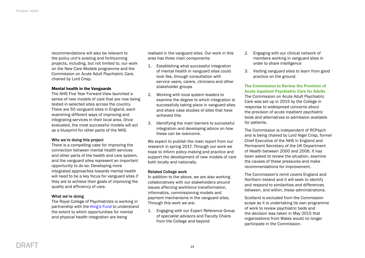recommendations will also be relevant to the policy unit's existing and forthcoming projects, including, but not limited to, our work on the New Care Models programme and the Commission on Acute Adult Psychiatric Care, chaired by Lord Crisp.

## Mental health in the Vanguards

The NHS Five Year Forward View launched a series of new models of care that are now being tested in selected sites across the country. There are 50 vanguard sites in England, each examining different ways of improving and integrating services in their local area. Once evaluated, the most successful models will act as a blueprint for other parts of the NHS.

#### Why we're doing this project

There is a compelling case for improving the connection between mental health services and other parts of the health and care system, and the vanguard sites represent an important opportunity to do so. Developing more integrated approaches towards mental health will need to be a key focus for vanguard sites if they are to achieve their goals of improving the quality and efficiency of care.

#### What we're doing

The Royal College of Psychiatrists is working in partnership with the [King's Fund](http://www.kingsfund.org.uk/projects/mental-health-vanguards) to understand the extent to which opportunities for mental and physical health integration are being

realised in the vanguard sites. Our work in this area has three main components:

- 1. Establishing what successful integration of mental health in vanguard sites could look like, through consultation with service users, carers, clinicians and other stakeholder groups
- 2. Working with local system leaders to examine the degree to which integration is successfully taking place in vanguard sites and share case studies of sites that have achieved this
- 3. Identifying the main barriers to successful integration and developing advice on how these can be overcome.

We expect to publish the main report from our research in spring 2017. Through our work we hope to inform policy-making and practice and support the development of new models of care both locally and nationally.

#### Related College work

In addition to the above, we are also working collaboratively with our stakeholders around issues affecting workforce transformation, informatics, commissioning models and payment mechanisms in the vanguard sites. Through this work we are:

1. Engaging with our Expert Reference Group of specialist advisors and Faculty Chairs from the College and beyond

- 2. Engaging with our clinical network of members working in vanguard sites in order to share intelligence
- 3. Visiting vanguard sites to learn from good practice on the ground.

The Commission to Review the Provision of Acute Inpatient Psychiatric Care for Adults The Commission on Acute Adult Psychiatric Care was set up in 2015 by the College in response to widespread concerns about the provision of acute inpatient psychiatric beds and alternatives to admission available for patients.

The Commission is independent of RCPsych and is being chaired by Lord Nigel Crisp, former Chief Executive of the NHS in England and Permanent Secretary of the UK Department of Health between 2000 and 2006. It has been asked to review the situation, examine the causes of these pressures and make recommendations for improvement.

The Commission's remit covers England and Northern Ireland and it will seek to identify and respond to similarities and differences between, and within, these administrations.

Scotland is excluded from the Commission scope as it is undertaking its own programme of work to review psychiatric beds and the decision was taken in May 2015 that organisations from Wales would no longer participate in the Commission.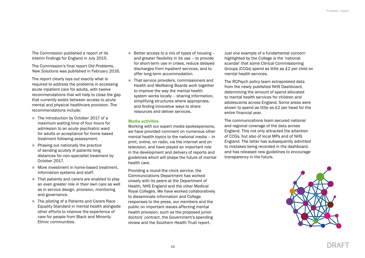The Commission published a report of its interim findings for England in July 2015.

The Commission's final report *Old Problems, New Solutions* was published in February 2016.

The report clearly lays out exactly what is required to address the problems in accessing acute inpatient care for adults, with twelve recommendations that will help to close the gap that currently exists between access to acute mental and physical healthcare provision. The recommendations include:

- The introduction by October 2017 of a maximum waiting time of four hours for admission to an acute psychiatric ward for adults or acceptance for home based treatment following assessment.
- Phasing out nationally the practice of sending acutely ill patients long distances for non-specialist treatment by October 2017.
- More investment in home-based treatment, information systems and staff.
- That patients and carers are enabled to play an even greater role in their own care as well as in service design, provision, monitoring and governance.
- The piloting of a Patients and Carers Race Equality Standard in mental health alongside other efforts to improve the experience of care for people from Black and Minority Ethnic communities.
- $\bullet$  Better access to a mix of types of housing and greater flexibility in its use – to provide for short-term use in crises, reduce delayed discharges from inpatient services, and to offer long-term accommodation.
- That service providers, commissioners and Health and Wellbeing Boards work together to improve the way the mental health system works locally – sharing information, simplifying structures where appropriate, and finding innovative ways to share resources and deliver services.

# Media activities

Working with our expert media spokespersons, we have provided comment on numerous other mental health topics to the national media – in print, online, on radio, via the internet and on television, and have played an important role in the development and delivery of reports and guidelines which will shape the future of mental health care.

Providing a round-the-clock service, the Communications Department has worked closely with its peers at the Department of Health, NHS England and the other Medical Royal Colleges. We have worked collaboratively to disseminate information and College responses to the press, our members and the public on important issues affecting mental health provision, such as the proposed junior doctors' contract, the Government's spending review and the Southern Health Trust report.

Just one example of a fundamental concern highlighted by the College is the 'national scandal' that some Clinical Commissioning Groups (CCGs) spend as little as £2 per child on mental health services.

The RCPsych policy team extrapolated data from the newly published NHS Dashboard, determining the amount of spend allocated to mental health services for children and adolescents across England. Some areas were shown to spend as little as £2 per head for the entire financial year.

The communications team secured national and regional coverage of the data across England. This not only attracted the attention of CCGs, but also of local MPs and of NHS England. The latter has subsequently admitted to mistakes being recorded in the dashboard, and has released new guidelines to encourage transparency in the future.

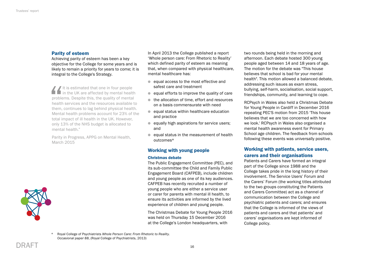# Parity of esteem

Achieving parity of esteem has been a key objective for the College for some years and is likely to remain a priority for years to come; it is integral to the College's Strategy.

It is estimated that one in four people in the UK are affected by mental health problems. Despite this, the quality of mental health services and the resources available to them, continues to lag behind physical health. Mental health problems account for 23% of the total impact of ill health in the UK. However, only 13% of the NHS budget is allocated to mental health."

Parity in Progress, APPG on Mental Health, March 2015



In April 2013 the College published a report 'Whole person care: From Rhetoric to Reality' which defined parity of esteem as meaning that, when compared with physical healthcare, mental healthcare has:

- $\bullet$  equal access to the most effective and safest care and treatment
- $\bullet$  equal efforts to improve the quality of care
- $\bullet$  the allocation of time, effort and resources on a basis commensurate with need
- $\bullet$  equal status within healthcare education and practice
- **e** equally high aspirations for service users; and
- $\bullet$  equal status in the measurement of health outcomes\*

# Working with young people

#### Christmas debate

The Public Engagement Committee (PEC), and its sub-committee the Child and Family Public Engagement Board (CAFPEB), include children and young people as one of its key audiences. CAFPEB has recently recruited a number of young people who are either a service user or carer for parents with mental ill health, to ensure its activities are informed by the lived experience of children and young people.

The Christmas Debate for Young People 2016 was held on Thursday 15 December 2016 at the College's London headquarters, with

two rounds being held in the morning and afternoon. Each debate hosted 300 young people aged between 14 and 18 years of age. The motion for the debate was "This house believes that school is bad for your mental health". This motion allowed a balanced debate, addressing such issues as exam stress, bullying, self-harm, socialisation, social support, friendships, community, and learning to cope.

RCPsych in Wales also held a Christmas Debate for Young People in Cardiff in December 2016 repeating PEC'S motion from 2015 'This house believes that we are too concerned with how we look.' RCPsych in Wales also organised a mental health awareness event for Primary School age children. The feedback from schools following these events was universally positive.

# Working with patients, service users, carers and their organisations

Patients and Carers have formed an integral part of the College since 1988 and the College takes pride in the long history of their involvement. The Service Users' Forum and the Carers' Forum (the working titles attributed to the two groups constituting the Patients and Carers Committee) act as a channel of communication between the College and psychiatric patients and carers; and ensures that the College is informed of the views of patients and carers and that patients' and carers' organisations are kept informed of College policy.

<sup>\*</sup> Royal College of Psychiatrists *Whole Person Care: From Rhetoric to Reality. Occasional paper 88*, (Royal College of Psychiatrists, 2013)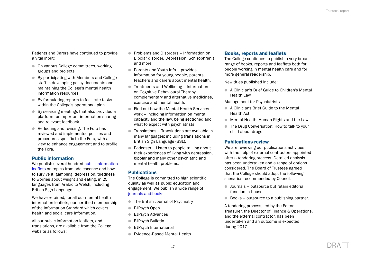Patients and Carers have continued to provide a vital input:

- **On various College committees, working** groups and projects
- By participating with Members and College staff in developing policy documents and maintaining the College's mental health information resources
- By formulating reports to facilitate tasks within the College's operational plan
- $\bullet$  By servicing meetings that also provided a platform for important information sharing and relevant feedback
- $\bullet$  Reflecting and revising: The Fora has reviewed and implemented policies and procedures specific to the Fora, with a view to enhance engagement and to profile the Fora.

# Public information

We publish several hundred public information [leaflets](http://www.rcpsych.ac.uk/workinpsychiatry/faculties/eatingdisorders/publicinformation.aspx) on topics from adolescence and how to survive it, gambling, depression, tiredness to worries about weight and eating, in 25 languages from Arabic to Welsh, including British Sign Language.

We have retained, for all our mental health information leaflets, our certified membership of the Information Standard which covers health and social care information.

All our public information leaflets, and translations, are available from the College website as follows:

- **Problems and Disorders Information on** Bipolar disorder, Depression, Schizophrenia and more.
- Parents and Youth Info provides information for young people, parents, teachers and carers about mental health.
- **Treatments and Wellbeing Information** on Cognitive Behavioural Therapy, complementary and alternative medicines, exercise and mental health.
- Find out how the Mental Health Services work – including information on mental capacity and the law, being sectioned and what to expect with psychiatrists.
- $\bullet$  Translations Translations are available in many languages; including translations in British Sign Language (BSL).
- $\bullet$  Podcasts Listen to people talking about their experiences of living with depression, bipolar and many other psychiatric and mental health problems.

# **Publications**

The College is committed to high scientific quality as well as public education and engagement. We publish a wide range of [journals and books](http://www.rcpsych.ac.uk/usefulresources/publications.aspx):

- **The British Journal of Psychiatry**
- **BJPsych Open**
- **BJPsych Advances**
- **BJPsych Bulletin**
- **BJPsych International**
- **Evidence-Based Mental Health**

# Books, reports and leaflets

The College continues to publish a very broad range of books, reports and leaflets both for people working in mental health care and for more general readership.

New titles published include:

● A Clinician's Brief Guide to Children's Mental Health Law

Management for Psychiatrists

- A Clinicians Brief Guide to the Mental Health Act
- **In Mental Health, Human Rights and the Law**
- The Drug Conversation: How to talk to your child about drugs

# Publications review

We are reviewing our publications activities. with the help of external contractors appointed after a tendering process. Detailed analysis has been undertaken and a range of options considered. The Board of Trustees agreed that the College should adopt the following scenarios recommended by Council:

- $\bullet$  Journals outsource but retain editorial function in-house
- Books outsource to a publishing partner.

A tendering process, led by the Editor, Treasurer, the Director of Finance & Operations, and the external contractor, has been undertaken and an outcome is expected during 2017.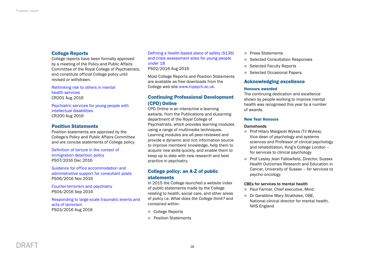# College Reports

College reports have been formally approved by a meeting of the Policy and Public Affairs Committee of the Royal College of Psychiatrists, and constitute official College policy until revised or withdrawn.

[Rethinking risk to others in mental](http://www.rcpsych.ac.uk/usefulresources/publications/collegereports/cr/cr201.aspx)  [health services](http://www.rcpsych.ac.uk/usefulresources/publications/collegereports/cr/cr201.aspx) CR201 Aug 2016

[Psychiatric services for young people with](http://www.rcpsych.ac.uk/usefulresources/publications/collegereports/cr/cr200.aspx)  [intellectual disabilities](http://www.rcpsych.ac.uk/usefulresources/publications/collegereports/cr/cr200.aspx) CR200 Aug 2016

# Position Statements

Position statements are approved by the College's Policy and Public Affairs Committee and are concise statements of College policy.

[Definition of torture in the context of](http://www.rcpsych.ac.uk/pdf/PS07_2016.pdf)  [immigration detention policy](http://www.rcpsych.ac.uk/pdf/PS07_2016.pdf) PS07/2016 Dec 2016

[Guidance for office accommodation and](http://www.rcpsych.ac.uk/pdf/PS06_16.pdf)  [administrative support for consultant posts](http://www.rcpsych.ac.uk/pdf/PS06_16.pdf) PS06/2016 Nov 2016

[Counter-terrorism and psychiatry](http://www.rcpsych.ac.uk/pdf/PS04_16.pdf) PS04/2016 Sep 2016

[Responding to large-scale traumatic events and](http://www.rcpsych.ac.uk/pdf/PS03_2016.pdf)  [acts of terrorism](http://www.rcpsych.ac.uk/pdf/PS03_2016.pdf) PS03/2016 Aug 2016

[Defining a health-based place of safety \(S136\)](http://www.rcpsych.ac.uk/pdf/PS02_2016.pdf)  [and crisis assessment sites for young people](http://www.rcpsych.ac.uk/pdf/PS02_2016.pdf)  [under 18](http://www.rcpsych.ac.uk/pdf/PS02_2016.pdf)

PS02/2016 Aug 2016

Most College Reports and Position Statements are available as free downloads from the College web site [www.rcpsych.ac.uk](http://www.rcpsych.ac.uk).

# Continuing Professional Development (CPD) Online

CPD Online is an interactive e-learning website, from the Publications and eLearning department of the Royal College of Psychiatrists, which provides learning modules using a range of multimedia techniques. Learning modules are all peer-reviewed and provide a dynamic and rich information source to improve members' knowledge, help them to acquire new skills quickly, and enable them to keep up to date with new research and best practice in psychiatry.

# College policy: an A-Z of public statements

In 2015 the College launched a website index of public statements made by the College relating to health, social care, and other areas of policy i.e. *What does the College think?* and contained within:

- College Reports
- Position Statements
- **Press Statements**
- **C** Selected Consultation Responses
- Selected Faculty Reports
- Selected Occasional Papers.

# Acknowledging excellence

# Honours awarded

The continuing dedication and excellence shown by people working to improve mental health was recognised this year by a number of awards.

# New Year Honours

# **Damehoods**

- **Prof Hilary Margaret Wykes (Til Wykes),** Vice-dean of psychology and systems sciences and Professor of clinical psychology and rehabilitation, King's College London – for services to clinical psychology
- **Prof Lesley Jean Fallowfield, Director, Sussex** Health Outcomes Research and Education in Cancer, University of Sussex – for services to psycho-oncology

# CBEs for services to mental health

- **Paul Farmer, Chief executive, Mind**
- **Dr Geraldine Mary Strathdee, OBE,** National clinical director for mental health, NHS England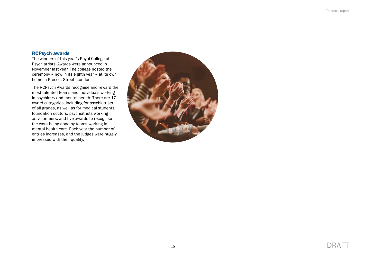# RCPsych awards

The winners of this year's Royal College of Psychiatrists' Awards were announced in November last year. The college hosted the ceremony – now in its eighth year – at its own home in Prescot Street, London.

The RCPsych Awards recognise and reward the most talented teams and individuals working in psychiatry and mental health. There are 17 award categories, including for psychiatrists of all grades, as well as for medical students, foundation doctors, psychiatrists working as volunteers, and five awards to recognise the work being done by teams working in mental health care. Each year the number of entries increases, and the judges were hugely impressed with their quality.

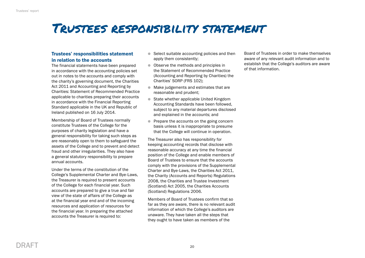# <span id="page-21-0"></span>Trustees responsibility statement

# Trustees' responsibilities statement in relation to the accounts

The financial statements have been prepared in accordance with the accounting policies set out in notes to the accounts and comply with the charity's governing document, the Charities Act 2011 and Accounting and Reporting by Charities: Statement of Recommended Practice applicable to charities preparing their accounts in accordance with the Financial Reporting Standard applicable in the UK and Republic of Ireland published on 16 July 2014.

Membership of Board of Trustees normally constitute Trustees of the College for the purposes of charity legislation and have a general responsibility for taking such steps as are reasonably open to them to safeguard the assets of the College and to prevent and detect fraud and other irregularities. They also have a general statutory responsibility to prepare annual accounts.

Under the terms of the constitution of the College's Supplemental Charter and Bye-Laws, the Treasurer is required to present accounts of the College for each financial year. Such accounts are prepared to give a true and fair view of the state of affairs of the College as at the financial year end and of the incoming resources and application of resources for the financial year. In preparing the attached accounts the Treasurer is required to:

- $\bullet$  Select suitable accounting policies and then apply them consistently;
- Observe the methods and principles in the Statement of Recommended Practice (Accounting and Reporting by Charities) the Charities' SORP (FRS 102);
- $\bullet$  Make judgements and estimates that are reasonable and prudent;
- State whether applicable United Kingdom Accounting Standards have been followed, subject to any material departures disclosed and explained in the accounts; and
- $\bullet$  Prepare the accounts on the going concern basis unless it is inappropriate to presume that the College will continue in operation.

The Treasurer also has responsibility for keeping accounting records that disclose with reasonable accuracy at any time the financial position of the College and enable members of Board of Trustees to ensure that the accounts comply with the provisions of the Supplemental Charter and Bye-Laws, the Charities Act 2011, the Charity (Accounts and Reports) Regulations 2008, the Charities and Trustee Investment (Scotland) Act 2005, the Charities Accounts (Scotland) Regulations 2006.

Members of Board of Trustees confirm that so far as they are aware, there is no relevant audit information of which the College's auditors are unaware. They have taken all the steps that they ought to have taken as members of the

Board of Trustees in order to make themselves aware of any relevant audit information and to establish that the College's auditors are aware of that information.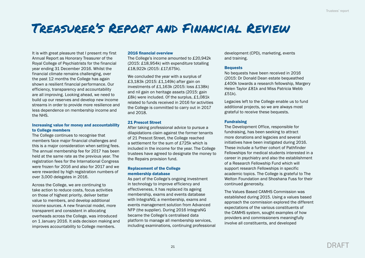# <span id="page-22-0"></span>Treasurer's Report and Financial Review

It is with great pleasure that I present my first Annual Report as Honorary Treasurer of the Royal College of Psychiatrists for the financial year ending 31 December 2016. Whilst the financial climate remains challenging, over the past 12 months the College has again shown a resilient financial performance. Our efficiency, transparency and accountability are all improving. Looking ahead, we need to build up our reserves and develop new income streams in order to provide more resilience and less dependence on membership income and the NHS.

# Increasing value for money and accountability to College members

The College continues to recognise that members face major financial challenges and this is a major consideration when setting fees. The annual membership fee for 2017 has been held at the same rate as the previous year. The registration fees for the International Congress were frozen for 2016 and also for 2017 and we were rewarded by high registration numbers of over 3,000 delegates in 2016.

Across the College, we are continuing to take action to reduce costs, focus activities on those of highest priority, deliver better value to members, and develop additional income sources. A new financial model, more transparent and consistent in allocating overheads across the College, was introduced on 1 January 2016. It aids decision making and improves accountability to College members.

# 2016 financial overview

The College's income amounted to £20,942k (2015: £18,954k) with expenditure totalling £18,922k (2015: £17,675k).

We concluded the year with a surplus of £3,183k (2015: £1,149k) after gain on investments of £1,163k (2015: loss £138k) and nil gain on heritage assets (2015: gain £8k) were included. Of the surplus, £1,081k related to funds received in 2016 for activities the College is committed to carry out in 2017 and 2018.

### 21 Prescot Street

After taking professional advice to pursue a dilapidations claim against the former tenants of 21 Prescot Street, the College reached a settlement for the sum of £725k which is included in the income for the year. The College trustees have agreed to designate the money to the Repairs provision fund.

## Replacement of the College membership database

As part of the College's ongoing investment in technology to improve efficiency and effectiveness, it has replaced its ageing membership, exams and events database with IntegraNG; a membership, exams and events management solution from Advanced NFP (the supplier). During 2016 IntegraNG became the College's centralised data platform to manage all membership services, including examinations, continuing professional development (CPD), marketing, events and training.

#### **Bequests**

No bequests have been received in 2016 (2015: Dr Donald Dean estate bequeathed £400k towards a research fellowship, Margery Helen Taylor £81k and Miss Patricia Webb £51k).

Legacies left to the College enable us to fund additional projects, so we are always most grateful to receive these bequests.

## Fundraising

The Development Office, responsible for fundraising, has been seeking to attract more donations and legacies and several initiatives have been instigated during 2016. These include a further cohort of Pathfinder Fellowships for medical students interested in a career in psychiatry and also the establishment of a Research Fellowship Fund which will support research Fellowships in specific academic topics. The College is grateful to The Welton Foundation and Shoshana Fuss for their continued generosity.

The Values Based CAMHS Commission was established during 2015. Using a values based approach the commission explored the different expectations of the various constituents of the CAMHS system, sought examples of how providers and commissioners meaningfully involve all constituents, and developed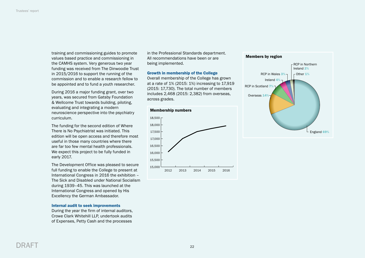training and commissioning guides to promote values based practice and commissioning in the CAMHS system. Very generous two year funding was received from The Dinwoodie Trust in 2015/2016 to support the running of the commission and to enable a research fellow to be appointed and to fund a youth researcher.

During 2016 a major funding grant, over two years, was secured from Gatsby Foundation & Wellcome Trust towards building, piloting, evaluating and integrating a modern neuroscience perspective into the psychiatry curriculum.

The funding for the second edition of Where There is No Psychiatrist was initiated. This edition will be open access and therefore most useful in those many countries where there are far too few mental health professionals. We expect this project to be fully funded in early 2017.

The Development Office was pleased to secure full funding to enable the College to present at International Congress in 2016 the exhibition – The Sick and Disabled under National Socialism during 1939–45. This was launched at the International Congress and opened by His Excellency the German Ambassador.

## Internal audit to seek improvements

During the year the firm of internal auditors, Crowe Clark Whitehill LLP, undertook audits of Expenses, Petty Cash and the processes

in the Professional Standards department. All recommendations have been or are being implemented.

### Growth in membership of the College

Overall membership of the College has grown at a rate of 1% (2015: 1%) increasing to 17,919 (2015: 17,730). The total number of members includes 2,468 (2015: 2,382) from overseas, across grades.





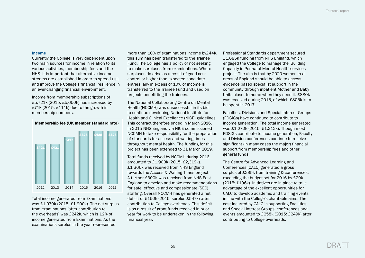#### Income

Currently the College is very dependent upon two main sources for income in relation to its various activities, membership fees and the NHS. It is important that alternative income streams are established in order to spread risk and improve the College's financial resilience in an ever-changing financial environment.

Income from membership subscriptions of £5,721k (2015: £5,650k) has increased by £71k (2015: £111k) due to the growth in membership numbers.



Membership fee (UK member standard rate)

Total income generated from Examinations was £1,979k (2015: £1,900k). The net surplus from examinations (after contribution to the overheads) was £242k, which is 12% of income generated from Examinations. As the examinations surplus in the year represented

more than 10% of examinations income by£44k, this sum has been transferred to the Trainee Fund. The College has a policy of not seeking to make surpluses from examinations. Where surpluses do arise as a result of good cost control or higher than expected candidate entries, any in excess of 10% of income is transferred to the Trainee Fund and used on projects benefitting the trainees.

The National Collaborating Centre on Mental Health (NCCMH) was unsuccessful in its bid to continue developing National Institute for Health and Clinical Excellence (NICE) guidelines. This contract therefore ended in March 2016. In 2015 NHS England via NICE commissioned NCCMH to take responsibility for the preparation of standards for access and waiting times throughout mental health. The funding for this project has been extended to 31 March 2019.

Total funds received by NCCMH during 2016 amounted to £1,903k (2015: £2,319k). £1,366k was received from NHS England towards the Access & Waiting Times project. A further £300k was received from NHS East England to develop and make recommendations for safe, effective and compassionate (SEC) staffing. Overall NCCMH has generated a net deficit of £150k (2015: surplus £547k) after contribution to College overheads. This deficit is as a result of grant funds received in prior year for work to be undertaken in the following financial year.

Professional Standards department secured £1,685k funding from NHS England, which engaged the College to manage the 'Building Capacity in Perinatal Mental Health' services project. The aim is that by 2020 women in all areas of England should be able to access evidence based specialist support in the community through inpatient Mother and Baby Units closer to home when they need it. £880k was received during 2016, of which £805k is to be spent in 2017.

Faculties, Divisions and Special Interest Groups (FDSIGs) have continued to contribute to income generation. The total income generated was £1,270k (2015: £1,212k). Though most FDSIGs contribute to income generation, Faculty and Division conferences continue to receive significant (in many cases the major) financial support from membership fees and other general funds.

The Centre for Advanced Learning and Conferences (CALC) generated a gross surplus of £295k from training & conferences, exceeding the budget set for 2016 by £29k (2015: £196k). Initiatives are in place to take advantage of the excellent opportunities for CALC to develop academic and training events in line with the College's charitable aims. The cost incurred by CALC in supporting Faculties and Special Interest Groups' conferences and events amounted to £258k (2015: £249k) after contributing to College overheads.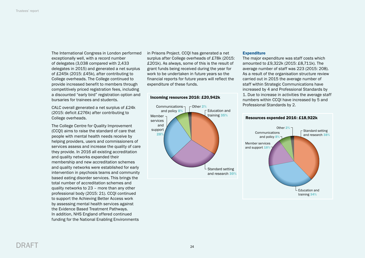The International Congress in London performed exceptionally well, with a record number of delegates (3,038 compared with 2,433 delegates in 2015) and generated a net surplus of £245k (2015: £45k), after contributing to College overheads. The College continued to provide increased benefit to members through competitively priced registration fees, including a discounted "early bird" registration option and bursaries for trainees and students.

CALC overall generated a net surplus of £24k (2015: deficit £276k) after contributing to College overheads.

The College Centre for Quality Improvement (CCQI) aims to raise the standard of care that people with mental health needs receive by helping providers, users and commissioners of services assess and increase the quality of care they provide. In 2016 all existing accreditation and quality networks expanded their membership and new accreditation schemes and quality networks were established for early intervention in psychosis teams and community based eating disorder services. This brings the total number of accreditation schemes and quality networks to 23 – more than any other professional body (2015: 21). CCQI continued to support the Achieving Better Access work by assessing mental health services against the Evidence Based Treatment Pathways. In addition, NHS England offered continued funding for the National Enabling Environments

in Prisons Project. CCQI has generated a net surplus after College overheads of £78k (2015: £201k). As always, some of this is the result of grant funds being received during the year for work to be undertaken in future years so the financial reports for future years will reflect the expenditure of these funds.

# Incoming resources 2016: £20,942k



## **Expenditure**

The major expenditure was staff costs which amounted to £9,322k (2015: £8,711k). The average number of staff was 223 (2015: 208). As a result of the organisation structure review carried out in 2015 the average number of staff within Strategic Communications have increased by 4 and Professional Standards by 1. Due to increase in activities the average staff numbers within CCQI have increased by 5 and Professional Standards by 2.

## Resources expended 2016: £18,922k

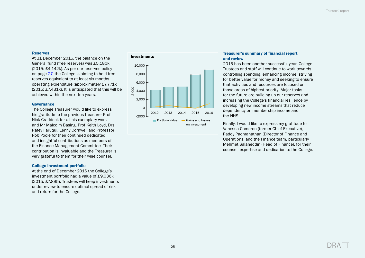# Reserves

At 31 December 2016, the balance on the General fund (free reserves) was £5,180k (2015: £4,142k). As per our reserves policy on page [27](#page-28-0), the College is aiming to hold free reserves equivalent to at least six months operating expenditure (approximately £7,771k (2015: £7,431k). It is anticipated that this will be achieved within the next ten years.

#### Governance

The College Treasurer would like to express his gratitude to the previous treasurer Prof Nick Craddock for all his exemplary work and Mr Malcolm Basing, Prof Keith Loyd, Drs Rafey Faruqui, Lenny Cornwell and Professor Rob Poole for their continued dedicated and insightful contributions as members of the Finance Management Committee. Their contribution is invaluable and the Treasurer is very grateful to them for their wise counsel.

#### College investment portfolio

At the end of December 2016 the College's investment portfolio had a value of £9,036k (2015: £7,895). Trustees will keep investments under review to ensure optimal spread of risk and return for the College.





# Treasurer's summary of financial report and review

2016 has been another successful year. College Trustees and staff will continue to work towards controlling spending, enhancing income, striving for better value for money and seeking to ensure that activities and resources are focused on those areas of highest priority. Major tasks for the future are building up our reserves and increasing the College's financial resilience by developing new income streams that reduce dependency on membership income and the NHS.

Finally, I would like to express my gratitude to Vanessa Cameron (former Chief Executive), Paddy Padmanathan (Director of Finance and Operations) and the Finance team, particularly Mehmet Salaheddin (Head of Finance), for their counsel, expertise and dedication to the College.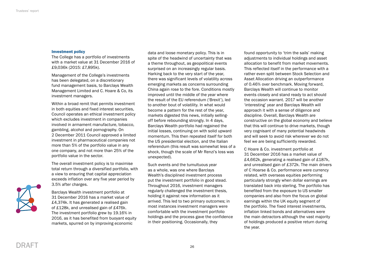#### Investment policy

The College has a portfolio of investments with a market value at 31 December 2016 of £9,036k (2015: £7,895k).

Management of the College's investments has been delegated, on a discretionary fund management basis, to Barclays Wealth Management Limited and C. Hoare & Co, its investment managers.

Within a broad remit that permits investment in both equities and fixed interest securities, Council operates an ethical investment policy which excludes investment in companies involved in armament manufacture, tobacco, gambling, alcohol and pornography. On 2 December 2011 Council approved a limited investment in pharmaceutical companies not more than 5% of the portfolio value in any one company, and not more than 25% of the portfolio value in the sector.

The overall investment policy is to maximise total return through a diversified portfolio, with a view to ensuring that capital appreciation exceeds inflation over any five year period by 3.5% after charges.



Barclays Wealth investment portfolio at 31 December 2016 has a market value of £4,374k. It has generated a realised gain of £128k, and unrealised gain of £476k. The investment portfolio grew by 19.16% in 2016, as it has benefited from buoyant equity markets, spurred on by improving economic

data and loose monetary policy. This is in spite of the headwind of uncertainty that was a theme throughout, as geopolitical events surprised on an increasingly regular basis. Harking back to the very start of the year, there was significant levels of volatility across emerging markets as concerns surrounding China again rose to the fore. Conditions mostly improved until the middle of the year where the result of the EU referendum ('Brexit'), led to another bout of volatility. In what would become a pattern for the rest of the year, markets digested this news, initially sellingoff before rebounding strongly. In 4 days, Barclays Wealth portfolio had regained the initial losses, continuing on with solid upward momentum. This then repeated itself for both the US presidential election, and the Italian referendum (this result was somewhat less of a shock, though the scale of Mr Renzi's loss was unexpected).

Such events and the tumultuous year as a whole, was one where Barclays Wealth's disciplined investment process put the investment portfolio in good stead. Throughout 2016, investment managers regularly challenged the investment thesis, holding it against new information as it arrived. This led to two primary outcomes; in most instances investment managers were comfortable with the investment portfolio holdings and the process gave the confidence in their positioning. Occasionally, they

found opportunity to 'trim the sails' making adjustments to individual holdings and asset allocation to benefit from market movements. This reflected itself in the performance with a rather even split between Stock Selection and Asset Allocation driving an outperformance of 0.46% over benchmark. Moving forward, Barclays Wealth will continue to monitor events closely and stand ready to act should the occasion warrant. 2017 will be another 'interesting' year and Barclays Wealth will approach it with a sense of diligence and discipline. Overall, Barclays Wealth are constructive on the global economy and believe that this will continue to drive markets, though very cognisant of many potential headwinds and will seek to avoid risk wherever we do not feel we are being sufficiently rewarded.

C Hoare & Co. investment portfolio at 31 December 2016 has a market value of £4,662k, generating a realised gain of £187k, and unrealised gain of £372k. The main drivers of C Hoarse & Co. performance were currency related, with overseas equities performing particularly strongly when dollar earnings are translated back into sterling. The portfolio has benefited from the exposure to US smaller companies and also from the focus on global earnings within the UK equity segment of the portfolio. The fixed interest investments, inflation linked bonds and alternatives were the main detractors although the vast majority of holdings produced a positive return during the year.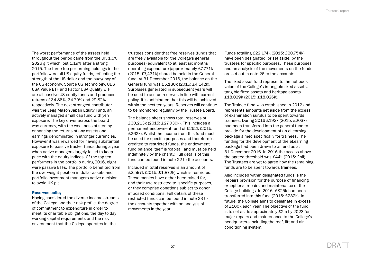<span id="page-28-0"></span>The worst performance of the assets held throughout the period came from the UK 1.5% 2026 gilt which lost 1.19% after a strong 2015. The three top performing holdings in the portfolio were all US equity funds, reflecting the strength of the US dollar and the buoyancy of the US economy. Source US Technology, UBS USA Value ETF and Factor USA Quality ETF are all passive US equity funds and produced returns of 34.88%, 34.79% and 29.82% respectively. The next strongest contributor was the Legg Mason Japan Equity Fund, an actively managed small cap fund with yen exposure. The key driver across the board was currency, with the weakness of sterling enhancing the returns of any assets and earnings denominated in stronger currencies. However it was rewarded for having substantial exposure to passive tracker funds during a year when active managers largely failed to keep pace with the equity indices. Of the top ten performers in the portfolio during 2016, eight were passive ETFs. The portfolio benefited from the overweight position in dollar assets and portfolio investment managers active decision to avoid UK plc.

#### Reserves policy

Having considered the diverse income streams of the College and their risk profile, the degree of commitment to expenditure in order to meet its charitable obligations, the day to day working capital requirements and the risk environment that the College operates in, the

trustees consider that free reserves (funds that are freely available for the College's general purposes) equivalent to at least six months operating expenditure (approximately £7,771k (2015: £7,431k) should be held in the General fund. At 31 December 2016, the balance on the General fund was £5,180k (2015: £4,142k). Surpluses generated in subsequent years will be used to accrue reserves in line with current policy. It is anticipated that this will be achieved within the next ten years. Reserves will continue to be monitored regularly by the Trustee Board.

The balance sheet shows total reserves of £30,213k (2015: £27,030k). This includes a permanent endowment fund of £262k (2015: £262k). Whilst the income from this fund must be used for specific purposes and therefore is credited to restricted funds, the endowment fund balance itself is 'capital' and must be held indefinitely by the charity. Full details of this fund can be found in note 22 to the accounts.

Included in total reserves is an amount of £2,597k (2015: £1,872k) which is restricted. These monies have either been raised for, and their use restricted to, specific purposes, or they comprise donations subject to donor imposed conditions. Full details of these restricted funds can be found in note 23 to the accounts together with an analysis of movements in the year.

Funds totalling £22,174k (2015: £20,754k) have been designated, or set aside, by the trustees for specific purposes. These purposes and an analysis of the movements on the funds are set out in note 26 to the accounts.

The fixed asset fund represents the net book value of the College's intangible fixed assets, tangible fixed assets and heritage assets £18,029k (2015: £18,026k).

The Trainee fund was established in 2012 and represents amounts set aside from the excess of examination surplus to be spent towards trainees. During 2016 £192k (2015: £203k) had been transferred into the general fund to provide for the development of an eLearning package aimed specifically for trainees. The funding for the development of the eLearning package had been drawn to an end as at 31 December 2016. In 2016 the access above the agreed threshold was £44k (2015: £nil). The Trustees are yet to agree how the remaining funds are to be spent towards trainees.

Also included within designated funds is the Repairs provision for the purpose of financing exceptional repairs and maintenance of the College buildings. In 2016, £825k had been transferred into this fund (2015: £232k). In future, the College aims to designate in excess of £100k each year. The objective of the fund is to set aside approximately £2m by 2023 for major repairs and maintenance to the College's headquarters including the roof, lift and air conditioning system.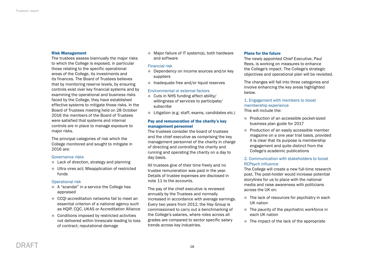# Risk Management

The trustees assess biannually the major risks to which the College is exposed, in particular those relating to the specific operational areas of the College, its investments and its finances. The Board of Trustees believes that by monitoring reserve levels, by ensuring controls exist over key financial systems and by examining the operational and business risks faced by the College, they have established effective systems to mitigate those risks. In the Board of Trustees meeting held on 28 October 2016 the members of the Board of Trustees were satisfied that systems and internal controls are in place to manage exposure to major risks.

The principal categories of risk which the College monitored and sought to mitigate in 2016 are:

## Governance risks

- $\bullet$  Lack of direction, strategy and planning
- **Ultra vires act; Misapplication of restricted** funds

## Operational risk

- A "scandal" in a service the College has appraised
- CCOI accreditation networks fail to meet an essential criterion of a national agency such as HQIP, CQC, UKAS or Accreditation Alliance
- Conditions imposed by restricted activities not delivered within timescale leading to loss of contract; reputational damage

 $\bullet$  Major failure of IT system(s), both hardware and software

# Financial risk

- **•** Dependency on income sources and/or key suppliers
- $\bullet$  Inadequate free and/or liquid reserves

# Environmental or external factors

- **Cuts in NHS funding affect ability/** willingness of services to participate/ subscribe
- **I** Litigation (e.g. staff, exams, candidates etc.)

# Pay and remuneration of the charity's key management personnel

The trustees consider the board of trustees and the chief executive as comprising the key management personnel of the charity in charge of directing and controlling the charity and running and operating the charity on a day to day basis.

All trustees give of their time freely and no trustee remuneration was paid in the year. Details of trustee expenses are disclosed in note 11 to the accounts.

The pay of the chief executive is reviewed annually by the Trustees and normally increased in accordance with average earnings. Every two years from 2012, the Hay Group is commissioned to carry out a benchmarking of the College's salaries, where roles across all grades are compared to sector specific salary trends across key industries.

#### Plans for the future

The newly appointed Chief Executive, Paul Rees, is working on measures to enhance the College's impact. The College's strategic objectives and operational plan will be revisited.

The changes will fall into three categories and involve enhancing the key areas highlighted below.

# 1. Engagement with members to boost membership experience This will include the:

- **Production of an accessible pocket-sized** business plan guide for 2017
- **Production of an easily accessible member** magazine on a one year trial basis, provided it is clear that its purpose is membership engagement and quite distinct from the College's academic publications

# 2. Communication with stakeholders to boost RCPsych influence

The College will create a new full-time research post. The post-holder would increase potential storylines for us to place with the national media and raise awareness with politicians across the UK on:

- $\bullet$  The lack of resources for psychiatry in each UK nation
- $\bullet$  The paucity of the psychiatric workforce in each UK nation
- $\bullet$  The impact of the lack of the appropriate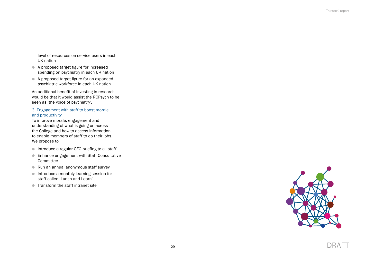level of resources on service users in each UK nation

- l A proposed target figure for increased spending on psychiatry in each UK nation
- l A proposed target figure for an expanded psychiatric workforce in each UK nation.

An additional benefit of investing in research would be that it would assist the RCPsych to be seen as 'the voice of psychiatry'.

# 3. Engagement with staff to boost morale and productivity

To improve morale, engagement and understanding of what is going on across the College and how to access information to enable members of staff to do their jobs. We propose to:

- $\bullet$  Introduce a regular CEO briefing to all staff
- **Enhance engagement with Staff Consultative** Committee
- Run an annual anonymous staff survey
- $\bullet$  Introduce a monthly learning session for staff called 'Lunch and Learn'
- **Transform the staff intranet site**

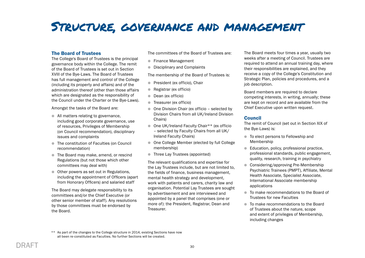# <span id="page-31-0"></span>Structure, governance and management

# The Board of Trustees

The College's Board of Trustees is the principal governance body within the College. The remit of the Board of Trustees is set out in Section XVIII of the Bye-Laws. The Board of Trustees has full management and control of the College (including its property and affairs) and of the administration thereof (other than those affairs which are designated as the responsibility of the Council under the Charter or the Bye-Laws).

Amongst the tasks of the Board are:

- All matters relating to governance, including good corporate governance, use of resources, Privileges of Membership (on Council recommendation), disciplinary issues and complaints
- The constitution of Faculties (on Council recommendation)
- **The Board may make, amend, or rescind** Regulations (but not those which other committees may deal with)
- Other powers as set out in Regulations, including the appointment of Officers (apart from Honorary Officers) and salaried staff

The Board may delegate responsibility to its committees and/or the Chief Executive (or other senior member of staff). Any resolutions by those committees must be endorsed by the Board.

The committees of the Board of Trustees are:

- **Finance Management**
- **•** Disciplinary and Complaints

The membership of the Board of Trustees is:

- **President (ex officio), Chair**
- Registrar (ex officio)
- **Dean (ex officio)**
- **Treasurer (ex officio)**
- One Division Chair (ex officio selected by Division Chairs from all UK/Ireland Division Chairs)
- $\bullet$  One UK/Ireland Faculty Chair\*\* (ex officio – selected by Faculty Chairs from all UK/ Ireland Faculty Chairs)
- One College Member (elected by full College membership)
- **Three Lay Trustees (appointed)**

The relevant qualifications and expertise for the Lay Trustees include, but are not limited to, the fields of finance, business management, mental health strategy and development, work with patients and carers, charity law and organisation. Potential Lay Trustees are sought by advertisement and are interviewed and appointed by a panel that comprises (one or more of): the President, Registrar, Dean and **Treasurer.** 

The Board meets four times a year, usually two weeks after a meeting of Council. Trustees are required to attend an annual training day, where their responsibilities are explained, and they receive a copy of the College's Constitution and Strategic Plan, policies and procedures, and a job description.

Board members are required to declare competing interests, in writing, annually; these are kept on record and are available from the Chief Executive upon written request.

# Council

The remit of Council (set out in Section XIX of the Bye-Laws) is:

- $\bullet$  To elect persons to Fellowship and Membership
- $\bullet$  Education, policy, professional practice, professional standards, public engagement, quality, research, training in psychiatry
- **Considering/approving Pre-Membership** Psychiatric Trainees (PMPT), Affiliate, Mental Health Associate, Specialist Associate, International Associate membership applications
- $\bullet$  To make recommendations to the Board of Trustees for new Faculties
- $\bullet$  To make recommendations to the Board of Trustees about the nature, scope and extent of privileges of Membership, including changes

<sup>\*\*</sup> As part of the changes to the College structure in 2014, existing Sections have now all been re-constituted as Faculties. No further Sections will be created.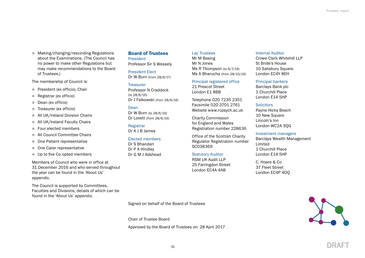**In Making/changing/rescinding Regulations** about the Examinations. (The Council has no power to make other Regulations but may make recommendations to the Board of Trustees.)

The membership of Council is:

- **President (ex officio), Chair**
- Registrar (ex officio)
- **Dean (ex officio)**
- **Treasurer (ex officio)**
- **All UK/Ireland Division Chairs**
- **All UK/Ireland Faculty Chairs**
- Four elected members
- All Council Committee Chairs
- **Cone Patient representative**
- **One Carer representative**
- **ID Up to five Co-opted members**

Members of Council who were in office at 31 December 2016 and who served throughout the year can be found in the 'About Us' appendix.

The Council is supported by Committees, Faculties and Divisions, details of which can be found in the 'About Us' appendix.

# Board of Trustees

President Professor Sir S Wessely

President Elect Dr W Burn (from 28/6/17)

#### **Treasurer**

Professor N Craddock (to 28/6/16) Dr J Falkowski (from 28/6/16)

#### Dean

Dr W Burn (to 28/6/16) Dr Lovett (from 28/6/16)

Registrar Dr A J B James

#### Elected members Dr S Bhandari

Dr P A Hindley Dr G M J Adshead

# Lay Trustees

Mr M Basing Mr N Jones Ms R Thompson (to 9/7/16) Ms A Bharucha (from 28/10/16)

# Principal registered office

21 Prescot Street London E1 8BB

Telephone 020 7235 2351 Facsimile 020 3701 2761 Website [www.rcpsych.ac.uk](http://www.rcpsych.ac.uk) 

Charity Commission for England and Wales Registration number 228636

Office of the Scottish Charity Regulator Registration number SC038369

#### Statutory Auditor

RSM UK Audit LLP 25 Farringdon Street London EC4A 4AB

Internal Auditor

Crowe Clark Whitehill LLP St Bride's House 10 Salisbury Square London EC4Y 8EH

#### Principal bankers

Barclays Bank plc 1 Churchill Place London E14 5HP

#### **Solicitors**

Payne Hicks Beach 10 New Square Lincoln's Inn London WC2A 3QG

# Investment managers

Barclays Wealth Management Limited 1 Churchill Place London E14 5HP

C. Hoare & Co 37 Fleet Street London EC4P 4DQ

Signed on behalf of the Board of Trustees

Chair of Trustee Board

Approved by the Board of Trustees on: 28 April 2017

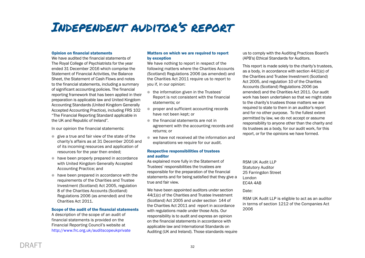# <span id="page-33-0"></span>Independent auditor's report

# Opinion on financial statements

We have audited the financial statements of The Royal College of Psychiatrists for the year ended 31 December 2016 which comprise the Statement of Financial Activities, the Balance Sheet, the Statement of Cash Flows and notes to the financial statements, including a summary of significant accounting policies. The financial reporting framework that has been applied in their preparation is applicable law and United Kingdom Accounting Standards (United Kingdom Generally Accepted Accounting Practice), including FRS 102 "The Financial Reporting Standard applicable in the UK and Republic of Ireland".

In our opinion the financial statements:

- $\bullet$  give a true and fair view of the state of the charity's affairs as at 31 December 2016 and of its incoming resources and application of resources for the year then ended;
- $\bullet$  have been properly prepared in accordance with United Kingdom Generally Accepted Accounting Practice; and
- $\bullet$  have been prepared in accordance with the requirements of the Charities and Trustee Investment (Scotland) Act 2005, regulation 8 of the Charities Accounts (Scotland) Regulations 2006 (as amended) and the Charities Act 2011.

## Scope of the audit of the financial statements

A description of the scope of an audit of financial statements is provided on the Financial Reporting Council's website at <http://www.frc.org.uk/auditscopeukprivate>

# Matters on which we are required to report by exception

We have nothing to report in respect of the following matters where the Charities Accounts (Scotland) Regulations 2006 (as amended) and the Charities Act 2011 require us to report to you if, in our opinion:

- $\bullet$  the information given in the Trustees' Report is not consistent with the financial statements; or
- **•** proper and sufficient accounting records have not been kept; or
- $\bullet$  the financial statements are not in agreement with the accounting records and returns; or
- $\bullet$  we have not received all the information and explanations we require for our audit.

# Respective responsibilities of trustees and auditor

As explained more fully in the Statement of Trustees' responsibilities the trustees are responsible for the preparation of the financial statements and for being satisfied that they give a true and fair view.

We have been appointed auditors under section 44(1)(c) of the Charities and Trustee Investment (Scotland) Act 2005 and under section 144 of the Charities Act 2011 and report in accordance with regulations made under those Acts. Our responsibility is to audit and express an opinion on the financial statements in accordance with applicable law and International Standards on Auditing (UK and Ireland). Those standards require us to comply with the Auditing Practices Board's (APB's) Ethical Standards for Auditors.

This report is made solely to the charity's trustees, as a body, in accordance with section 44(1)(c) of the Charities and Trustee Investment (Scotland) Act 2005, and regulation 10 of the Charities Accounts (Scotland) Regulations 2006 (as amended) and the Charities Act 2011. Our audit work has been undertaken so that we might state to the charity's trustees those matters we are required to state to them in an auditor's report and for no other purpose. To the fullest extent permitted by law, we do not accept or assume responsibility to anyone other than the charity and its trustees as a body, for our audit work, for this report, or for the opinions we have formed.

RSM UK Audit LLP Statutory Auditor 25 Farringdon Street London EC4A 4AB

Date:

RSM UK Audit LLP is eligible to act as an auditor in terms of section 1212 of the Companies Act 2006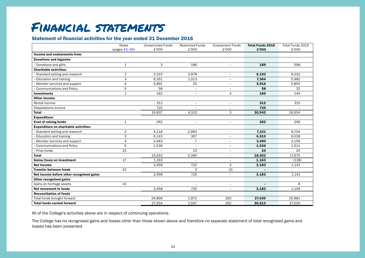# <span id="page-34-0"></span>Financial statements

# Statement of financial activities for the year ended 31 December 2016

|                                              | <b>Notes</b><br>(pages 43-65) | <b>Unrestricted Funds</b><br>£'000 | <b>Restricted Funds</b><br>£'000 | <b>Endowment Funds</b><br>£'000 | <b>Total Funds 2016</b><br>£'000 | Total Funds 2015<br>£'000 |
|----------------------------------------------|-------------------------------|------------------------------------|----------------------------------|---------------------------------|----------------------------------|---------------------------|
| Income and endowments from:                  |                               |                                    |                                  |                                 |                                  |                           |
| <b>Donations and legacies</b>                |                               |                                    |                                  |                                 |                                  |                           |
| - Donations and gifts                        | $\mathbf{1}$                  | 3                                  | 186                              | $\overline{\phantom{a}}$        | 189                              | 598                       |
| <b>Charitable activities:</b>                |                               |                                    |                                  |                                 |                                  |                           |
| - Standard setting and research              | $\overline{2}$                | 3,315                              | 2,878                            | $\overline{\phantom{0}}$        | 6,193                            | 6,032                     |
| - Education and training                     | 3                             | 6,351                              | 1,013                            | $\equiv$                        | 7,364                            | 5,982                     |
| - Member services and support                | $\overline{4}$                | 5,891                              | 25                               | $\qquad \qquad -$               | 5,916                            | 5,855                     |
| - Communications and Policy                  | 5                             | 58                                 | $\equiv$                         | $\overline{\phantom{a}}$        | 58                               | 32                        |
| <b>Investments</b>                           | $\mathbf{1}$                  | 182                                | $\overline{\phantom{a}}$         | 3                               | 185                              | 140                       |
| <b>Other income</b>                          |                               |                                    |                                  |                                 |                                  |                           |
| Rental income                                |                               | 312                                | $\overline{\phantom{0}}$         | $\overline{\phantom{0}}$        | 312                              | 315                       |
| Dilapidations income                         |                               | 725                                |                                  | $\overline{\phantom{a}}$        | 725                              |                           |
| <b>Total</b>                                 |                               | 16,837                             | 4,102                            | 3                               | 20,942                           | 18,954                    |
| <b>Expenditure:</b>                          |                               |                                    |                                  |                                 |                                  |                           |
| <b>Cost of raising funds</b>                 | $\mathbf{1}$                  | 262                                |                                  | $\equiv$                        | 262                              | 246                       |
| <b>Expenditure on charitable activities:</b> |                               |                                    |                                  |                                 |                                  |                           |
| - Standard setting and research              | $\overline{2}$                | 4,118                              | 2,983                            | $\overline{\phantom{0}}$        | 7,101                            | 6,704                     |
| - Education and training                     | 3                             | 6.143                              | 367                              | $\qquad \qquad -$               | 6,510                            | 6,038                     |
| - Member services and support                | $\overline{4}$                | 3,483                              | $\overline{7}$                   | $\overline{\phantom{0}}$        | 3,490                            | 3,156                     |
| - Communications and Policy                  | 5                             | 1,536                              |                                  | $\overline{\phantom{0}}$        | 1,536                            | 1,511                     |
| - Prize funds                                | 22                            |                                    | 23                               | $\overline{\phantom{m}}$        | 23                               | 20                        |
| <b>Total</b>                                 |                               | 15,542                             | 3,380                            | $\equiv$                        | 18,922                           | 17,675                    |
| Gains/(loss) on investment                   | 17                            | 1,163                              |                                  | $\qquad \qquad -$               | 1,163                            | (138)                     |
| <b>Net income</b>                            |                               | 2,458                              | 722                              | 3                               | 3,183                            | 1,141                     |
| <b>Transfer between funds</b>                | 22                            | $\equiv$                           | 3                                | (3)                             |                                  |                           |
| Net income before other recognised gains     |                               | 2.458                              | 725                              | ÷.                              | 3,183                            | 1.141                     |
| <b>Other recognised gains</b>                |                               |                                    |                                  |                                 |                                  |                           |
| Gains on heritage assets                     | 15                            | $\qquad \qquad =$                  | ÷,                               | $\qquad \qquad -$               |                                  | 8                         |
| Net movement in funds                        |                               | 2,458                              | 725                              | $\overline{\phantom{m}}$        | 3,183                            | 1,149                     |
| <b>Reconciliation of funds</b>               |                               |                                    |                                  |                                 |                                  |                           |
| Total funds brought forward                  |                               | 24,896                             | 1,872                            | 262                             | 27,030                           | 25,881                    |
| <b>Total funds carried forward</b>           |                               | 27,354                             | 2,597                            | 262                             | 30,213                           | 27,030                    |

All of the College's activities above are in respect of continuing operations.

The College has no recognised gains and losses other than those shown above and therefore no separate statement of total recognised gains and losses has been presented.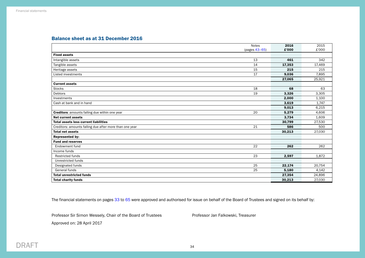# <span id="page-35-0"></span>Balance sheet as at 31 December 2016

|                                                         | <b>Notes</b>  | 2016   | 2015   |
|---------------------------------------------------------|---------------|--------|--------|
|                                                         | (pages 43-65) | £'000  | £'000  |
| <b>Fixed assets</b>                                     |               |        |        |
| Intangible assets                                       | 13            | 461    | 342    |
| Tangible assets                                         | 14            | 17,353 | 17,469 |
| Heritage assets                                         | 15            | 215    | 215    |
| Listed investments                                      | 17            | 9,036  | 7.895  |
|                                                         |               | 27,065 | 25,921 |
| <b>Current assets</b>                                   |               |        |        |
| <b>Stocks</b>                                           | 18            | 68     | 63     |
| Debtors                                                 | 19            | 3,326  | 3,305  |
| Investments                                             |               | 2,000  | 1,100  |
| Cash at bank and in hand                                |               | 3,619  | 1,747  |
|                                                         |               | 9,013  | 6,215  |
| <b>Creditors:</b> amounts falling due within one year   | 20            | 5,279  | 4,606  |
| <b>Net current assets</b>                               |               | 3,734  | 1,609  |
| <b>Total assets less current liabilities</b>            |               | 30,799 | 27,530 |
| Creditors: amounts falling due after more than one year | 21            | 586    | 500    |
| <b>Total net assets</b>                                 |               | 30,213 | 27,030 |
| <b>Represented by:</b>                                  |               |        |        |
| <b>Fund and reserves</b>                                |               |        |        |
| Endowment fund                                          | 22            | 262    | 262    |
| Income funds                                            |               |        |        |
| <b>Restricted funds</b>                                 | 23            | 2,597  | 1.872  |
| Unrestricted funds                                      |               |        |        |
| Designated funds                                        | 25            | 22,174 | 20,754 |
| General funds                                           | 25            | 5,180  | 4,142  |
| <b>Total unrestricted funds</b>                         |               |        | 24,896 |
| <b>Total charity funds</b>                              |               | 30,213 | 27,030 |

The financial statements on pages [33](#page-34-0) to [65](#page-66-0) were approved and authorised for issue on behalf of the Board of Trustees and signed on its behalf by:

Professor Sir Simon Wessely, Chair of the Board of Trustees Professor Jan Falkowski, Treasurer

Approved on: 28 April 2017

DRAFT 34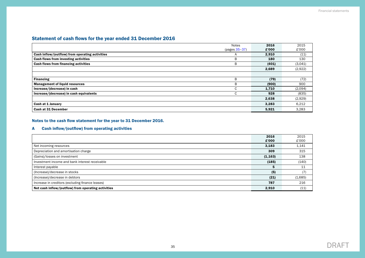# Statement of cash flows for the year ended 31 December 2016

|                                                 | Notes           | 2016  | 2015    |
|-------------------------------------------------|-----------------|-------|---------|
|                                                 | $(pages 35-37)$ | £'000 | £'000   |
| Cash inflow/(outflow) from operating activities | A               | 2,910 | (11)    |
| Cash flows from investing activities            | B               | 180   | 130     |
| <b>Cash flows from financing activities</b>     | B               | (401) | (3,041) |
|                                                 |                 | 2,689 | (2,922) |
|                                                 |                 |       |         |
| <b>Financing</b>                                | B               | (79)  | (72)    |
| <b>Management of liquid resources</b>           | B               | (900) | 900     |
| Increase/(decrease) in cash                     | C               | 1,710 | (2,094) |
| Increase/(decrease) in cash equivalents         | C               | 928   | (835)   |
|                                                 |                 | 2,638 | (2,929) |
| Cash at 1 January                               |                 | 3,283 | 6,212   |
| <b>Cash at 31 December</b>                      |                 | 5,921 | 3,283   |

# Notes to the cash flow statement for the year to 31 December 2016.

# A Cash inflow/(outflow) from operating activities

|                                                     | 2016     | 2015    |
|-----------------------------------------------------|----------|---------|
|                                                     | £'000    | £'000   |
| Net incoming resources                              | 3,183    | 1,141   |
| Depreciation and amortisation charge                | 309      | 315     |
| (Gains)/losses on investment                        | (1, 163) | 138     |
| Investment income and bank interest receivable      | (185)    | (140)   |
| Interest payable                                    | 5        | 11      |
| (Increase)/decrease in stocks                       | (5)      | (7)     |
| (Increase)/decrease in debtors                      | (21)     | (1,685) |
| Increase in creditors (excluding finance leases)    | 787      | 216     |
| Net cash inflow/(outflow) from operating activities | 2,910    | (11)    |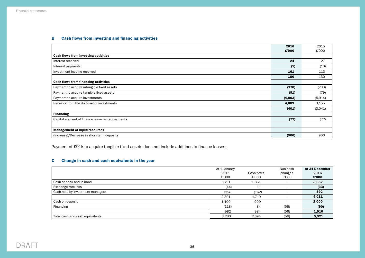# B Cash flows from investing and financing activities

|                                                  | 2016    | 2015     |
|--------------------------------------------------|---------|----------|
|                                                  | £'000   | £'000    |
| Cash flows from investing activities             |         |          |
| Interest received                                | 24      | 27       |
| Interest payments                                | (5)     | (10)     |
| Investment income received                       | 161     | 113      |
|                                                  | 180     | 130      |
| Cash flows from financing activities             |         |          |
| Payment to acquire intangible fixed assets       | (170)   | (203)    |
| Payment to acquire tangible fixed assets         | (91)    | (79)     |
| Payment to acquire investments                   | (4,803) | (5, 914) |
| Receipts from the disposal of investments        | 4,663   | 3,155    |
|                                                  | (401)   | (3,041)  |
| <b>Financing</b>                                 |         |          |
| Capital element of finance lease rental payments | (79)    | (72)     |
|                                                  |         |          |
| <b>Management of liquid resources</b>            |         |          |
| (Increase)/Decrease in short-term deposits       | (900)   | 900      |

Payment of £91k to acquire tangible fixed assets does not include additions to finance leases.

# C Change in cash and cash equivalents in the year

|                                  | At 1 January |            | Non cash                 | At 31 December |
|----------------------------------|--------------|------------|--------------------------|----------------|
|                                  | 2015         | Cash flows | changes                  | 2016           |
|                                  | £'000        | £'000      | £'000                    | £'000          |
| Cash at bank and in hand         | 1,791        | 1,861      |                          | 3,652          |
| Exchange rate loss               | (44)         | 11         | $\qquad \qquad$          | (33)           |
| Cash held by investment managers | 554          | (162)      | $\qquad \qquad$          | 392            |
|                                  | 2,301        | 1,710      | $\overline{\phantom{0}}$ | 4,011          |
| Cash on deposit                  | 1,100        | 900        | -                        | 2,000          |
| Financing                        | (118)        | 84         | (56)                     | (90)           |
|                                  | 982          | 984        | (56)                     | 1,910          |
| Total cash and cash equivalents  | 3,283        | 2,694      | (56)                     | 5,921          |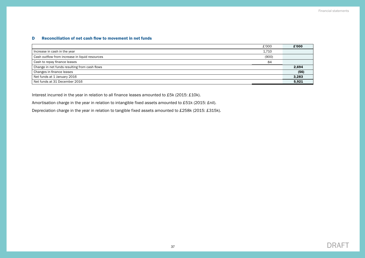# <span id="page-38-0"></span>D Reconciliation of net cash flow to movement in net funds

| £'000                                                   | £'000 |
|---------------------------------------------------------|-------|
| Increase in cash in the year<br>1,710                   |       |
| Cash outflow from increase in liquid resources<br>(900) |       |
| Cash to repay finance leases<br>84                      |       |
| Change in net funds resulting from cash flows           | 2,694 |
| Changes in finance leases                               | (56)  |
| Net funds at 1 January 2016                             | 3,283 |
| Net funds at 31 December 2016                           | 5,921 |

Interest incurred in the year in relation to all finance leases amounted to £5k (2015: £10k).

Amortisation charge in the year in relation to intangible fixed assets amounted to £51k (2015: £nil).

Depreciation charge in the year in relation to tangible fixed assets amounted to £258k (2015: £315k).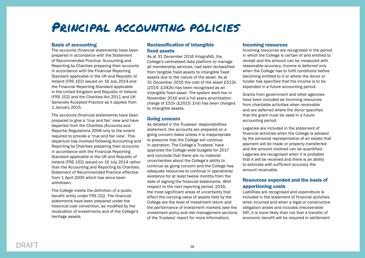# Principal accounting policies

# Basis of accounting

The accounts (financial statements) have been prepared in accordance with the Statement of Recommended Practice: Accounting and Reporting by Charities preparing their accounts in accordance with the Financial Reporting Standard applicable in the UK and Republic of Ireland (FRS 102) issued on 16 July 2014 and the Financial Reporting Standard applicable in the United Kingdom and Republic of Ireland (FRS 102) and the Charities Act 2011 and UK Generally Accepted Practice as it applies from 1 January 2015.

The accounts (financial statements) have been prepared to give a 'true and fair' view and have departed from the Charities (Accounts and Reports) Regulations 2008 only to the extent required to provide a 'true and fair view'. This departure has involved following Accounting and Reporting by Charities preparing their accounts in accordance with the Financial Reporting Standard applicable in the UK and Republic of Ireland (FRS 102) issued on 16 July 2014 rather than the Accounting and Reporting by Charities: Statement of Recommended Practice effective from 1 April 2005 which has since been withdrawn.

The College meets the definition of a public benefit entity under FRS 102. The financial statements have been prepared under the historical cost convention, as modified by the revaluation of investments and of the College's heritage assets.

# Reclassification of intangible fixed assets

As at 31 December 2016 IntegraNG, the College's centralised data platform to manage all membership services, had been reclassified from tangible fixed assets to intangible fixed assets due to the nature of the asset. As at 31 December 2016 the cost of the asset £512k (2015: £342k) has been recognised as an intangible fixed asset. The system went live in November 2016 and a full years amortisation charge of £51k (£2015: £nil) has been charged to intangible assets.

#### Going concern

As detailed in the Trustees' responsibilities statement, the accounts are prepared on a going concern basis unless it is inappropriate to presume that the College will continue in operation. The College's Trustees' have approved the College wide budgets for 2017 and conclude that there are no material uncertainties about the College's ability to continue as going concern and the College has adequate resources to continue in operational existence for at least twelve months from the date of signing the financial statements. With respect to the next reporting period, 2016, the most significant areas of uncertainty that effect the carrying value of assets held by the College are the level of investment return and the performance of investment markets (see the investment policy and risk management sections of the Trustees' report for more information).

# Incoming resources

Incoming resources are recognised in the period in which the College is certain of and entitled to receipt and the amount can be measured with reasonable accuracy. Income is deferred only when the College has to fulfil conditions before becoming entitled to it or where the donor or funder has specified that the income is to be expended in a future accounting period.

Grants from government and other agencies have been included as incoming resources from charitable activities when receivable and are deferred where the donor specifies that the grant must be used in a future accounting period.

Legacies are included in the statement of financial activities when the College is advised by the personal representative of an estate that payment will be made or property transferred and the amount involved can be quantified. Legacies are recognised when it is probable that it will be received and there is an ability to estimate with sufficient accuracy the amount receivable.

# Resources expended and the basis of apportioning costs

Liabilities are recognised and expenditure is included in the statement of financial activities when incurred and when a legal or constructive obligation arises and includes irrecoverable VAT, it is more likely than not that a transfer of economic benefit will be required in settlement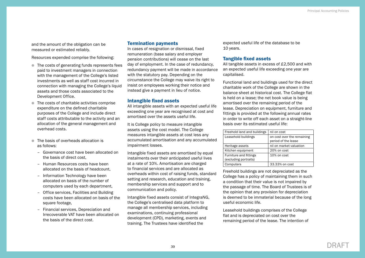and the amount of the obligation can be measured or estimated reliably.

Resources expended comprise the following:

- The costs of generating funds represents fees paid to investment managers in connection with the management of the College's listed investments as well as staff cost incurred in connection with managing the College's liquid assets and those costs associated to the Development Office.
- The costs of charitable activities comprise expenditure on the defined charitable purposes of the College and include direct staff costs attributable to the activity and an allocation of the general management and overhead costs.
- The basis of overheads allocation is as follows:
	- Governance cost have been allocated on the basis of direct cost,
	- Human Resources costs have been allocated on the basis of headcount,
	- Information Technology have been allocated on basis of the number of computers used by each department,
	- Office services, Facilities and Building costs have been allocated on basis of the square footage.
	- Financial services, Depreciation and Irrecoverable VAT have been allocated on the basis of the direct cost.

#### Termination payments

In cases of resignation or dismissal, fixed remuneration (base salary and employer pension contributions) will cease on the last day of employment. In the case of redundancy, redundancy payment will be made in accordance with the statutory pay. Depending on the circumstance the College may waive its right to insist on employees working their notice and instead give a payment in lieu of notice.

#### Intangible fixed assets

All intangible assets with an expected useful life exceeding one year are recognised at cost and amortised over the assets useful life.

It is College policy to measure intangible assets using the cost model. The College measures intangible assets at cost less any accumulated amortisation and any accumulated impairment losses.

Intangible fixed assets are amortised by equal instalments over their anticipated useful lives at a rate of 10%. Amortisation are charged to financial services and are allocated as overheads within cost of raising funds, standard setting and research, education and training, membership services and support and to communication and policy.

Intangible fixed assets consist of IntegraNG, the College's centralised data platform to manage all membership services, including examinations, continuing professional development (CPD), marketing, events and training. The Trustees have identified the

expected useful life of the database to be 10 years.

# Tangible fixed assets

All tangible assets in excess of £2,500 and with an expected useful life exceeding one year are capitalised.

Functional land and buildings used for the direct charitable work of the College are shown in the balance sheet at historical cost. The College flat is held on a lease; the net book value is being amortised over the remaining period of the lease. Depreciation on equipment, furniture and fittings is provided at the following annual rates in order to write off each asset on a straight-line basis over its estimated useful life:

| Freehold land and buildings                            | nil on cost                                       |
|--------------------------------------------------------|---------------------------------------------------|
| Leasehold buildings                                    | on cost over the remaining<br>period of the lease |
| Heritage assets                                        | nil on market valuation                           |
| Kitchen equipment                                      | 20% on cost                                       |
| <b>Furniture and fittings</b><br>(excluding portraits) | 10% on cost                                       |
| Computers                                              | 33.33% on cost                                    |

Freehold buildings are not depreciated as the College has a policy of maintaining them in such a condition that their value is not impaired by the passage of time. The Board of Trustees is of the opinion that any provision for depreciation is deemed to be immaterial because of the long useful economic life.

Leasehold buildings comprises of the College flat and is depreciated on cost over the remaining period of the lease. The intention of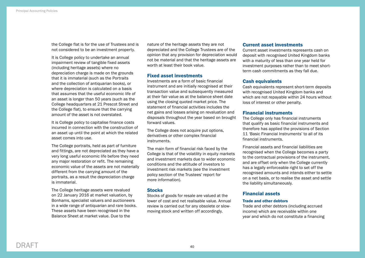the College flat is for the use of Trustees and is not considered to be an investment property.

It is College policy to undertake an annual impairment review of tangible fixed assets (including heritage assets) where no depreciation charge is made on the grounds that it is immaterial (such as the Portraits and the collection of antiquarian books), or where depreciation is calculated on a basis that assumes that the useful economic life of an asset is longer than 50 years (such as the College headquarters at 21 Prescot Street and the College flat), to ensure that the carrying amount of the asset is not overstated.

It is College policy to capitalise finance costs incurred in connection with the construction of an asset up until the point at which the related asset comes into use.

The College portraits, held as part of furniture and fittings, are not depreciated as they have a very long useful economic life before they need any major restoration or refit. The remaining economic value of the assets are not materially different from the carrying amount of the portraits, as a result the depreciation charge is immaterial.

The College heritage assets were revalued on 22 January 2016 at market valuation, by Bonhams, specialist valuers and auctioneers in a wide range of antiquarian and rare books. These assets have been recognised in the Balance Sheet at market value. Due to the

nature of the heritage assets they are not depreciated and the College Trustees are of the opinion that any provision for depreciation would not be material and that the heritage assets are worth at least their book value.

# Fixed asset investments

Investments are a form of basic financial instrument and are initially recognised at their transaction value and subsequently measured at their fair value as at the balance sheet date using the closing quoted market price. The statement of financial activities includes the net gains and losses arising on revaluation and disposals throughout the year based on brought forward values.

The College does not acquire put options, derivatives or other complex financial instruments.

The main form of financial risk faced by the College is that of the volatility in equity markets and investment markets due to wider economic conditions and the attitude of investors to investment risk markets (see the investment policy section of the Trustees' report for more information).

#### **Stocks**

Stocks of goods for resale are valued at the lower of cost and net realisable value. Annual review is carried out for any obsolete or slowmoving stock and written off accordingly.

#### Current asset investments

Current asset investments represents cash on deposit with recognised United Kingdom banks with a maturity of less than one year held for investment purposes rather than to meet shortterm cash commitments as they fall due.

# Cash equivalents

Cash equivalents represent short-term deposits with recognised United Kingdom banks and which are not repayable within 24 hours without loss of interest or other penalty.

# Financial instruments

The College only has financial instruments that qualify as basic financial instruments and therefore has applied the provisions of Section 11 'Basic Financial Instruments' to all of its financial instruments.

Financial assets and financial liabilities are recognised when the College becomes a party to the contractual provisions of the instrument, and are offset only when the College currently has a legally enforceable right to set off the recognised amounts and intends either to settle on a net basis, or to realise the asset and settle the liability simultaneously.

# Financial assets

#### Trade and other debtors

Trade and other debtors (including accrued income) which are receivable within one year and which do not constitute a financing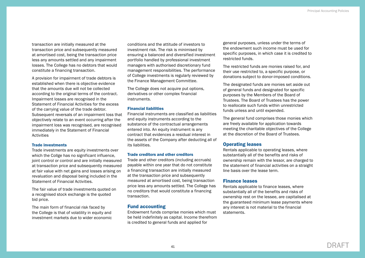transaction are initially measured at the transaction price and subsequently measured at amortised cost, being the transaction price less any amounts settled and any impairment losses. The College has no debtors that would constitute a financing transaction.

A provision for impairment of trade debtors is established when there is objective evidence that the amounts due will not be collected according to the original terms of the contract. Impairment losses are recognised in the Statement of Financial Activities for the excess of the carrying value of the trade debtor. Subsequent reversals of an impairment loss that objectively relate to an event occurring after the impairment loss was recognised, are recognised immediately in the Statement of Financial **Activities** 

#### Trade investments

Trade investments are equity investments over which the Collge has no significant influence, joint control or control and are initially measured at transaction price and subsequently measured at fair value with net gains and losses arising on revaluation and disposal being included in the Statement of Financial Activities.

The fair value of trade investments quoted on a recognised stock exchange is the quoted bid price.

The main form of financial risk faced by the College is that of volatility in equity and investment markets due to wider economic

conditions and the attitude of investors to investment risk. The risk is minimised by ensuring a balanced and diversified investment portfolio handled by professional investment managers with authorised discretionary fund management responsibilities. The performance of College investments is regularly reviewed by the Finance Management Committee.

The College does not acquire put options. derivatives or other complex financial instruments.

#### Financial liabilities

Financial instruments are classified as liabilities and equity instruments according to the substance of the contractual arrangements entered into. An equity instrument is any contract that evidences a residual interest in the assets of the Company after deducting all of its liabilities.

#### Trade creditors and other creditors

Trade and other creditors (including accruals) payable within one year that do not constitute a financing transaction are initially measured at the transaction price and subsequently measured at amortised cost, being transaction price less any amounts settled. The College has no creditors that would constitute a financing transaction.

# Fund accounting

Endowment funds comprise monies which must be held indefinitely as capital. Income therefrom is credited to general funds and applied for

general purposes, unless under the terms of the endowment such income must be used for specific purposes, in which case it is credited to restricted funds.

The restricted funds are monies raised for, and their use restricted to, a specific purpose, or donations subject to donor-imposed conditions.

The designated funds are monies set aside out of general funds and designated for specific purposes by the Members of the Board of Trustees. The Board of Trustees has the power to reallocate such funds within unrestricted funds unless and until expended.

The general fund comprises those monies which are freely available for application towards meeting the charitable objectives of the College at the discretion of the Board of Trustees.

# Operating leases

Rentals applicable to operating leases, where substantially all of the benefits and risks of ownership remain with the lessor, are charged to the statement of financial activities on a straight line basis over the lease term.

#### Finance leases

Rentals applicable to finance leases, where substantially all of the benefits and risks of ownership rest on the lessee, are capitalised at the guaranteed minimum lease payments where any interest is not material to the financial statements.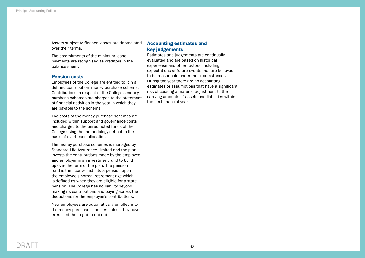Assets subject to finance leases are depreciated over their terms.

The commitments of the minimum lease payments are recognised as creditors in the balance sheet.

#### Pension costs

Employees of the College are entitled to join a defined contribution 'money purchase scheme'. Contributions in respect of the College's money purchase schemes are charged to the statement of financial activities in the year in which they are payable to the scheme.

The costs of the money purchase schemes are included within support and governance costs and charged to the unrestricted funds of the College using the methodology set out in the basis of overheads allocation.

The money purchase schemes is managed by Standard Life Assurance Limited and the plan invests the contributions made by the employee and employer in an investment fund to build up over the term of the plan. The pension fund is then converted into a pension upon the employee's normal retirement age which is defined as when they are eligible for a state pension. The College has no liability beyond making its contributions and paying across the deductions for the employee's contributions.

New employees are automatically enrolled into the money purchase schemes unless they have exercised their right to opt out.

# Accounting estimates and key judgements

Estimates and judgements are continually evaluated and are based on historical experience and other factors, including expectations of future events that are believed to be reasonable under the circumstances. During the year there are no accounting estimates or assumptions that have a significant risk of causing a material adjustment to the carrying amounts of assets and liabilities within the next financial year.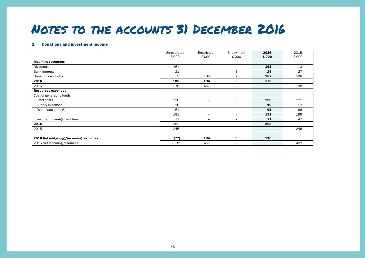# Notes to the accounts 31 December 2016

#### 1 Donations and investment income

|                                        | Unrestricted<br>£'000 | Restricted<br>£'000      | Endowment<br>£'000           | 2016<br>£'000 | 2015<br>£'000 |
|----------------------------------------|-----------------------|--------------------------|------------------------------|---------------|---------------|
| <b>Incoming resources</b>              |                       |                          |                              |               |               |
| Dividends                              | 161                   | -                        | $\overline{\phantom{a}}$     | 161           | 113           |
| <b>Bank interest</b>                   | 21                    | $\overline{\phantom{0}}$ | 3                            | 24            | 27            |
| Donations and gifts                    | 3                     | 184                      | $\overline{\phantom{m}}$     | 187           | 598           |
| 2016                                   | 185                   | 184                      | 3                            | 372           |               |
| 2015                                   | 278                   | 457                      | 3                            |               | 738           |
| <b>Resources expended</b>              |                       |                          |                              |               |               |
| Cost of generating funds               |                       |                          |                              |               |               |
| - Staff costs                          | 120                   | $\overline{\phantom{0}}$ | $\overline{\phantom{0}}$     | 120           | 121           |
| - Sundry expenses                      | 10                    | $\overline{\phantom{0}}$ | $\overline{\phantom{a}}$     | 10            | 12            |
| - Overheads (note 6)                   | 61                    | $\overline{\phantom{0}}$ | $\overline{\phantom{0}}$     | 61            | 66            |
|                                        | 191                   | $\overline{\phantom{0}}$ | $\overline{\phantom{m}}$     | 191           | 199           |
| Investment management fees             | 71                    | $\overline{\phantom{0}}$ | $\qquad \qquad \blacksquare$ | 71            | 47            |
| 2016                                   | 262                   | $\overline{\phantom{0}}$ | $\overline{\phantom{m}}$     | 262           |               |
| 2015                                   | 246                   | $\overline{\phantom{0}}$ | $\overline{\phantom{m}}$     |               | 246           |
|                                        |                       |                          |                              |               |               |
| 2016 Net (outgoing)/incoming resources | (77)                  | 184                      | 3                            | 110           |               |
| 2015 Net incoming resources            | 32                    | 457                      | 3                            |               | 492           |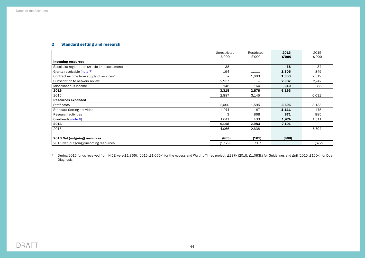# 2 Standard setting and research

|                                                 | Unrestricted | Restricted      | 2016  | 2015  |
|-------------------------------------------------|--------------|-----------------|-------|-------|
|                                                 | £'000        | £'000           | £'000 | £'000 |
| <b>Incoming resources</b>                       |              |                 |       |       |
| Specialist registration (Article 14 assessment) | 38           | $\qquad \qquad$ | 38    | 34    |
| Grants receivable (note 7)                      | 194          | 1,111           | 1,305 | 849   |
| Contract income from supply of services*        |              | 1,603           | 1,603 | 2,319 |
| Subscription to network review                  | 2,937        | $-$             | 2,937 | 2,742 |
| Miscellaneous income                            | 146          | 164             | 310   | 88    |
| 2016                                            | 3,315        | 2,878           | 6,193 |       |
| 2015                                            | 2,887        | 3,145           |       | 6,032 |
| <b>Resources expended</b>                       |              |                 |       |       |
| Staff costs                                     | 2,000        | 1,595           | 3,595 | 3,133 |
| <b>Standard Setting activities</b>              | 1,074        | 87              | 1,161 | 1,175 |
| Research activities                             | 3            | 868             | 871   | 885   |
| Overheads (note 6)                              | 1,041        | 433             | 1,474 | 1,511 |
| 2016                                            | 4,118        | 2,983           | 7,101 |       |
| 2015                                            | 4,066        | 2,638           |       | 6,704 |
|                                                 |              |                 |       |       |
| 2016 Net (outgoing) resources                   | (803)        | (105)           | (908) |       |
| 2015 Net (outgoing)/incoming resources          | (1, 179)     | 507             |       | (672) |

\* During 2016 funds received from NICE were £1,366k (2015: £1,066k) for the Access and Waiting Times project, £237k (2015: £1,093k) for Guidelines and £nil (2015: £160k) for Dual Diagnosis.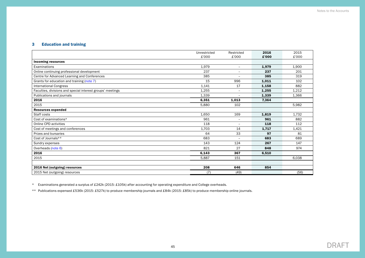# 3 Education and training

|                                                            | Unrestricted | Restricted               | 2016  | 2015  |
|------------------------------------------------------------|--------------|--------------------------|-------|-------|
|                                                            | £'000        | £'000                    | £'000 | £'000 |
| <b>Incoming resources</b>                                  |              |                          |       |       |
| Examinations                                               | 1,979        | $\overline{\phantom{a}}$ | 1,979 | 1,900 |
| Online continuing professional development                 | 237          | $\qquad \qquad -$        | 237   | 201   |
| Centre for Advanced Learning and Conferences               | 385          | $\equiv$                 | 385   | 319   |
| Grants for education and training (note 7)                 | 15           | 996                      | 1,011 | 102   |
| <b>International Congress</b>                              | 1,141        | 17                       | 1,158 | 882   |
| Faculties, divisions and special interest groups' meetings | 1,255        | $\overline{\phantom{0}}$ | 1,255 | 1,212 |
| Publications and journals                                  | 1,339        | $\overline{\phantom{0}}$ | 1,339 | 1,366 |
| 2016                                                       | 6,351        | 1,013                    | 7,364 |       |
| 2015                                                       | 5,880        | 102                      |       | 5,982 |
| <b>Resources expended</b>                                  |              |                          |       |       |
| Staff costs                                                | 1.650        | 169                      | 1,819 | 1,732 |
| Cost of examinations*                                      | 961          | $\equiv$                 | 961   | 882   |
| Online CPD activities                                      | 118          | $\overline{\phantom{0}}$ | 118   | 112   |
| Cost of meetings and conferences                           | 1,703        | 14                       | 1,717 | 1,421 |
| Prizes and bursaries                                       | 64           | 33                       | 97    | 81    |
| Cost of Journals**                                         | 683          | $\equiv$                 | 683   | 689   |
| Sundry expenses                                            | 143          | 124                      | 267   | 147   |
| Overheads (note 6)                                         | 821          | 27                       | 848   | 974   |
| 2016                                                       | 6,143        | 367                      | 6,510 |       |
| 2015                                                       | 5.887        | 151                      |       | 6,038 |
|                                                            |              |                          |       |       |
| 2016 Net (outgoing) resources                              | 208          | 646                      | 854   |       |
| 2015 Net (outgoing) resources                              | (7)          | (49)                     |       | (56)  |

\* Examinations generated a surplus of £242k (2015: £105k) after accounting for operating expenditure and College overheads.

\*\* Publications expensed £536k (2015: £527k) to produce membership journals and £84k (2015: £85k) to produce membership online journals.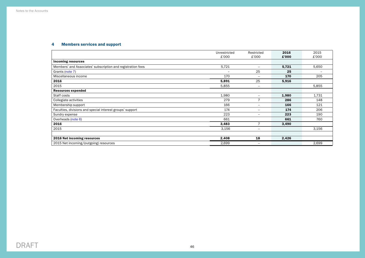# 4 Members services and support

|                                                             | Unrestricted             | Restricted               | 2016  | 2015  |
|-------------------------------------------------------------|--------------------------|--------------------------|-------|-------|
|                                                             | £'000                    | £'000                    | £'000 | £'000 |
| <b>Incoming resources</b>                                   |                          |                          |       |       |
| Members' and Associates' subscription and registration fees | 5,721                    | $\equiv$                 | 5,721 | 5,650 |
| Grants (note 7)                                             | $\overline{\phantom{0}}$ | 25                       | 25    |       |
| Miscellaneous income                                        | 170                      | $\overline{\phantom{0}}$ | 170   | 205   |
| 2016                                                        | 5,891                    | 25                       | 5,916 |       |
| 2015                                                        | 5,855                    | $\overline{\phantom{m}}$ |       | 5,855 |
| <b>Resources expended</b>                                   |                          |                          |       |       |
| Staff costs                                                 | 1,980                    | $\overline{\phantom{m}}$ | 1,980 | 1,731 |
| Collegiate activities                                       | 279                      | $\overline{7}$           | 286   | 148   |
| Membership support                                          | 166                      | $\overline{\phantom{m}}$ | 166   | 121   |
| Faculties, divisions and special interest groups' support   | 174                      | $\overline{\phantom{0}}$ | 174   | 206   |
| Sundry expense                                              | 223                      | $\overline{\phantom{0}}$ | 223   | 190   |
| Overheads (note 6)                                          | 661                      |                          | 661   | 760   |
| 2016                                                        | 3,483                    | $\overline{7}$           | 3,490 |       |
| 2015                                                        | 3,156                    | $\overline{\phantom{m}}$ |       | 3,156 |
|                                                             |                          |                          |       |       |
| 2016 Net incoming resources                                 | 2,408                    | 18                       | 2,426 |       |
| 2015 Net incoming/(outgoing) resources                      | 2,699                    | $\overline{\phantom{m}}$ |       | 2,699 |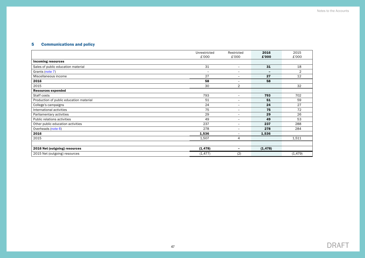# 5 Communications and policy

|                                         | Unrestricted             | Restricted               | 2016                     | 2015           |
|-----------------------------------------|--------------------------|--------------------------|--------------------------|----------------|
|                                         | £'000                    | £'000                    | £'000                    | £'000          |
| <b>Incoming resources</b>               |                          |                          |                          |                |
| Sales of public education material      | 31                       | $\overline{\phantom{a}}$ | 31                       | 18             |
| Grants (note 7)                         | $\overline{\phantom{a}}$ | $\overline{\phantom{a}}$ | $\overline{\phantom{0}}$ | $\overline{2}$ |
| Miscellaneous income                    | 27                       | $\overline{\phantom{a}}$ | 27                       | 12             |
| 2016                                    | 58                       | $\overline{\phantom{m}}$ | 58                       |                |
| 2015                                    | 30                       | $\overline{2}$           |                          | 32             |
| <b>Resources expended</b>               |                          |                          |                          |                |
| Staff costs                             | 793                      | $\overline{\phantom{a}}$ | 793                      | 702            |
| Production of public education material | 51                       | $\qquad \qquad -$        | 51                       | 59             |
| College's campaigns                     | 24                       | $\overline{\phantom{a}}$ | 24                       | 27             |
| International activities                | 75                       | $\overline{\phantom{a}}$ | 75                       | 72             |
| Parliamentary activities                | 29                       | $\qquad \qquad -$        | 29                       | 26             |
| Public relations activities             | 49                       | $\overline{\phantom{a}}$ | 49                       | 53             |
| Other public education activities       | 237                      | $\overline{\phantom{m}}$ | 237                      | 288            |
| Overheads (note 6)                      | 278                      | $\overline{\phantom{a}}$ | 278                      | 284            |
| 2016                                    | 1,536                    | $\overline{\phantom{m}}$ | 1,536                    |                |
| 2015                                    | 1,507                    | 4                        |                          | 1,511          |
|                                         |                          |                          |                          |                |
| 2016 Net (outgoing) resources           | (1, 478)                 | $\overline{\phantom{0}}$ | (1, 478)                 |                |
| 2015 Net (outgoing) resources           | (1, 477)                 | (2)                      |                          | (1, 479)       |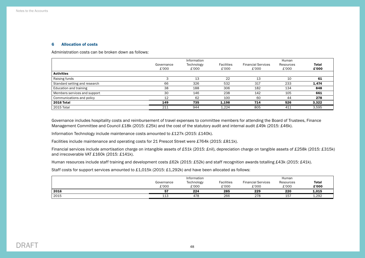#### <span id="page-49-0"></span>6 Allocation of costs

Administration costs can be broken down as follows:

|                               |            | Information |                   |                           | Human     |       |
|-------------------------------|------------|-------------|-------------------|---------------------------|-----------|-------|
|                               | Governance | Technology  | <b>Facilities</b> | <b>Financial Services</b> | Resources | Total |
|                               | £'000      | £'000       | £'000             | £'000                     | £'000     | £'000 |
| <b>Activities</b>             |            |             |                   |                           |           |       |
| Raising funds                 | $\sim$     | 13          | 22                | 13                        | 10        | 61    |
| Standard setting and research | 66         | 326         | 532               | 317                       | 233       | 1,474 |
| Education and training        | 38         | 188         | 306               | 182                       | 134       | 848   |
| Members services and support  | 30         | 146         | 238               | 142                       | 105       | 661   |
| Communications and policy     | 12         | 62          | 100               | 60                        | 44        | 278   |
| <b>2016 Total</b>             | 149        | 735         | 1,198             | 714                       | 526       | 3,322 |
| 2015 Total                    | 211        | 944         | 1,224             | 805                       | 411       | 3,595 |

Governance includes hospitality costs and reimbursement of travel expenses to committee members for attending the Board of Trustees, Finance Management Committee and Council £18k (2015: £25k) and the cost of the statutory audit and internal audit £49k (2015: £46k).

Information Technology include maintenance costs amounted to £127k (2015: £140k).

Facilities include maintenance and operating costs for 21 Prescot Street were £764k (2015: £811k).

Financial services include amortisation charge on intangible assets of £51k (2015: £nil), depreciation charge on tangible assets of £258k (2015: £315k) and irrecoverable VAT £160k (2015: £141k).

Human resources include staff training and development costs £62k (2015: £52k) and staff recognition awards totalling £43k (2015: £41k).

Staff costs for support services amounted to £1,015k (2015: £1,292k) and have been allocated as follows:

|      | Information         |                     |                            | Human                              |                    |                       |
|------|---------------------|---------------------|----------------------------|------------------------------------|--------------------|-----------------------|
|      | Governance<br>£'000 | Technology<br>£'000 | <b>Facilities</b><br>£'000 | <b>Financial Services</b><br>£'000 | Resources<br>£'000 | <b>Total</b><br>£'000 |
| 2016 | 57                  | 224                 | 285                        | 229                                | 220                | 1,015                 |
| 2015 | 113                 | 478                 | 266                        | 278                                | $15^{-}$           | 1,292                 |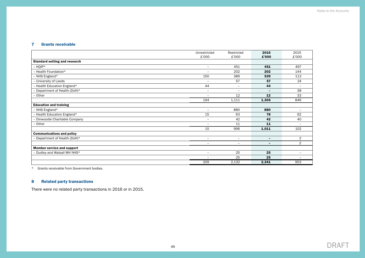# <span id="page-50-0"></span>7 Grants receivable

|                                      | Unrestricted             | Restricted               | 2016                     | 2015                     |
|--------------------------------------|--------------------------|--------------------------|--------------------------|--------------------------|
|                                      | £'000                    | £'000                    | £'000                    | £'000                    |
| <b>Standard setting and research</b> |                          |                          |                          |                          |
| $-$ HOIP*                            | $\overline{\phantom{a}}$ | 451                      | 451                      | 497                      |
| - Health Foundation*                 | $\overline{\phantom{a}}$ | 202                      | 202                      | 144                      |
| - NHS England*                       | 150                      | 389                      | 539                      | 113                      |
| - University of Leeds                | $\overline{\phantom{m}}$ | 57                       | 57                       | 24                       |
| - Health Education England*          | 44                       | $\overline{\phantom{m}}$ | 44                       | $\equiv$                 |
| - Department of Health (DoH)*        | $\overline{\phantom{a}}$ | $\overline{\phantom{m}}$ | $\overline{\phantom{0}}$ | 38                       |
| - Other                              |                          | 12                       | 12                       | 33                       |
|                                      | 194                      | 1,111                    | 1,305                    | 849                      |
| <b>Education and training</b>        |                          |                          |                          |                          |
| $-$ NHS England*                     | $-$                      | 880                      | 880                      | $-$                      |
| - Health Education England*          | 15                       | 63                       | 78                       | 62                       |
| - Dinwoodie Charitable Company       | $\equiv$                 | 42                       | 42                       | 40                       |
| - Other                              | $\equiv$                 | 11                       | 11                       | $\overline{\phantom{a}}$ |
|                                      | 15                       | 996                      | 1,011                    | 102                      |
| <b>Communications and policy</b>     |                          |                          |                          |                          |
| - Department of Health (DoH)*        | $\overline{\phantom{a}}$ | $\overline{\phantom{m}}$ | -                        | $\overline{2}$           |
|                                      | $\sim$                   | $\equiv$                 | $\overline{\phantom{0}}$ | 2                        |
| <b>Member service and support</b>    |                          |                          |                          |                          |
| - Dudley and Walsall MH NHS*         | $\overline{\phantom{a}}$ | 25                       | 25                       | $\equiv$                 |
|                                      | $\overline{\phantom{a}}$ | 25                       | 25                       | $\overline{\phantom{a}}$ |
|                                      | 209                      | 2,132                    | 2,341                    | 953                      |

\* Grants receivable from Government bodies.

# 8 Related party transactions

There were no related party transactions in 2016 or in 2015.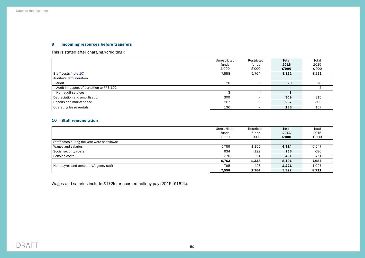# 9 Incoming resources before transfers

This is stated after charging/(crediting):

|                                             | Unrestricted             | Restricted               | <b>Total</b>             | Total |
|---------------------------------------------|--------------------------|--------------------------|--------------------------|-------|
|                                             | funds                    | funds                    | 2016                     | 2015  |
|                                             | £'000                    | £'000                    | £'000                    | £'000 |
| Staff costs (note 10)                       | 7,558                    | 1,764                    | 9,322                    | 8,711 |
| Auditor's remuneration                      |                          |                          |                          |       |
| - Audit                                     | 20                       | -                        | 20                       | 20    |
| - Audit in respect of transition to FRS 102 | $\overline{\phantom{0}}$ |                          | $\overline{\phantom{0}}$ | 5     |
| - Non-audit services                        |                          | -                        | 3                        | -     |
| Depreciation and amortisation               | 309                      | -                        | 309                      | 315   |
| Repairs and maintenance                     | 267                      | $\overline{\phantom{0}}$ | 267                      | 300   |
| Operating lease rentals                     | 136                      | -                        | 136                      | 157   |

# <span id="page-51-0"></span>10 Staff remuneration

|                                              | Unrestricted | Restricted | <b>Total</b> | Total |
|----------------------------------------------|--------------|------------|--------------|-------|
|                                              | funds        | funds      | 2016         | 2015  |
|                                              | £'000        | £'000      | £'000        | £'000 |
| Staff costs during the year were as follows: |              |            |              |       |
| Wages and salaries                           | 5.759        | 1.155      | 6,914        | 6,547 |
| Social security costs                        | 634          | 122        | 756          | 686   |
| Pension costs                                | 370          | 61         | 431          | 451   |
|                                              | 6,763        | 1,338      | 8.101        | 7,684 |
| Non-payroll and temporary/agency staff       | 795          | 426        | 1,221        | 1,027 |
|                                              | 7,558        | 1,764      | 9,322        | 8,711 |

Wages and salaries include £172k for accrued holiday pay (2015: £162k).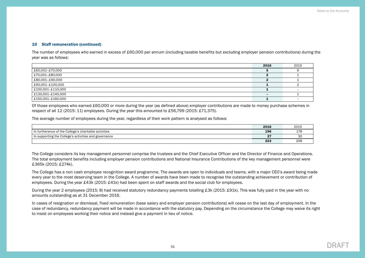#### 10 Staff remuneration (continued)

The number of employees who earned in excess of £60,000 per annum (including taxable benefits but excluding employer pension contributions) during the year was as follows:

|                   | 2016                     | 2015 |
|-------------------|--------------------------|------|
| £60,001-£70,000   |                          |      |
| £70,001-£80,000   |                          |      |
| £80,001-£90,000   |                          |      |
| £90,001-£100,000  |                          |      |
| £100,001-£110,000 |                          |      |
| £130,001-£140,000 | $\overline{\phantom{0}}$ |      |
| £150,001–£160,000 |                          |      |

Of those employees who earned £60,000 or more during the year (as defined above) employer contributions are made to money purchase schemes in respect of all 12 (2015: 11) employees. During the year this amounted to £56,799 (2015: £71,375).

The average number of employees during the year, regardless of their work pattern is analysed as follows:

|                                                             | 2016          | 2015        |
|-------------------------------------------------------------|---------------|-------------|
| In furtherance of the College's charitable activities       | 196           | 170<br>エパ   |
| $\pm$ In supporting the College's activities and governance | $\sim$<br>. . | $\sim$<br>◡ |
|                                                             | 223           | 208         |

The College considers its key management personnel comprise the trustees and the Chief Executive Officer and the Director of Finance and Operations. The total employment benefits including employer pension contributions and National Insurance Contributions of the key management personnel were £365k (2015: £274k).

The College has a non cash employee recognition award programme. The awards are open to individuals and teams, with a major CEO's award being made every year to the most deserving team in the College. A number of awards have been made to recognise the outstanding achievement or contribution of employees. During the year £43k (2015: £41k) had been spent on staff awards and the social club for employees.

During the year 2 employees (2015: 8) had received statutory redundancy payments totalling £3k (2015: £91k). This was fully paid in the year with no amounts outstanding as at 31 December 2016.

In cases of resignation or dismissal, fixed remuneration (base salary and employer pension contributions) will cease on the last day of employment. In the case of redundancy, redundancy payment will be made in accordance with the statutory pay. Depending on the circumstance the College may waive its right to insist on employees working their notice and instead give a payment in lieu of notice.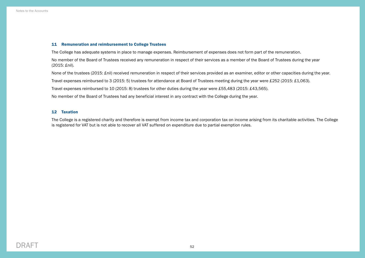#### 11 Remuneration and reimbursement to College Trustees

The College has adequate systems in place to manage expenses. Reimbursement of expenses does not form part of the remuneration.

No member of the Board of Trustees received any remuneration in respect of their services as a member of the Board of Trustees during the year (2015: £nil).

None of the trustees (2015: £nil) received remuneration in respect of their services provided as an examiner, editor or other capacities during the year.

Travel expenses reimbursed to 3 (2015: 5) trustees for attendance at Board of Trustees meeting during the year were £252 (2015: £1,063).

Travel expenses reimbursed to 10 (2015: 8) trustees for other duties during the year were £55,483 (2015: £43,565).

No member of the Board of Trustees had any beneficial interest in any contract with the College during the year.

#### 12 Taxation

The College is a registered charity and therefore is exempt from income tax and corporation tax on income arising from its charitable activities. The College is registered for VAT but is not able to recover all VAT suffered on expenditure due to partial exemption rules.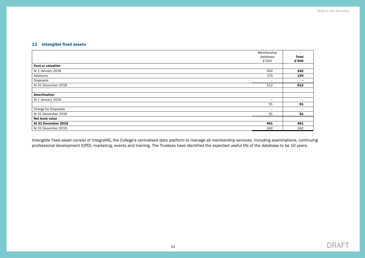# 13 Intangible fixed assets

|                          | Membership               |                          |
|--------------------------|--------------------------|--------------------------|
|                          | database                 | <b>Total</b>             |
|                          | £'000                    | £'000                    |
| <b>Cost or valuation</b> |                          |                          |
| At 1 January 2016        | 342                      | 342                      |
| Additions                | 170                      | 170                      |
| Disposals                | $\overline{\phantom{a}}$ | $\overline{\phantom{0}}$ |
| At 31 December 2016      | 512                      | 512                      |
|                          |                          |                          |
| Amortisation             |                          |                          |
| At 1 January 2016        | $\overline{\phantom{a}}$ |                          |
|                          | 51                       | 51                       |
| Charge for Disposals     | $\overline{\phantom{a}}$ | $\overline{\phantom{0}}$ |
| At 31 December 2016      | 51                       | 51                       |
| Net book value           |                          |                          |
| At 31 December 2016      | 461                      | 461                      |
| At 31 December 2015      | 342                      | 342                      |

Intangible fixed asset consist of IntegraNG, the College's centralised data platform to manage all membership services, including examinations, continuing professional development (CPD), marketing, events and training. The Trustees have identified the expected useful life of the database to be 10 years.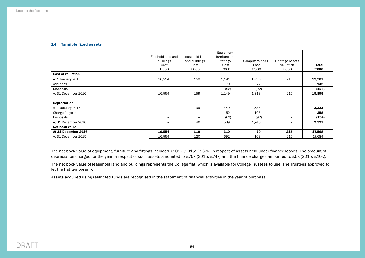#### 14 Tangible fixed assets

|                          | Freehold land and<br>buildings<br>Cost<br>£'000 | Leasehold land<br>and buildings<br>Cost<br>£'000 | Equipment,<br>furniture and<br>fittings<br>Cost<br>£'000 | Computers and IT<br>Cost<br>£'000 | <b>Heritage Assets</b><br>Valuation<br>£'000 | <b>Total</b><br>£'000 |
|--------------------------|-------------------------------------------------|--------------------------------------------------|----------------------------------------------------------|-----------------------------------|----------------------------------------------|-----------------------|
| <b>Cost or valuation</b> |                                                 |                                                  |                                                          |                                   |                                              |                       |
| At 1 January 2016        | 16,554                                          | 159                                              | 1,141                                                    | 1,838                             | 215                                          | 19,907                |
| Additions                | $\overline{\phantom{m}}$                        | $\overline{\phantom{0}}$                         | 70                                                       | 72                                | $\overline{\phantom{m}}$                     | 142                   |
| Disposals                | $\overline{\phantom{0}}$                        | $\overline{\phantom{0}}$                         | (62)                                                     | (92)                              | $\overline{\phantom{a}}$                     | (154)                 |
| At 31 December 2016      | 16,554                                          | 159                                              | 1,149                                                    | 1,818                             | 215                                          | 19,895                |
| Depreciation             |                                                 |                                                  |                                                          |                                   |                                              |                       |
| At 1 January 2016        | $\overline{\phantom{m}}$                        | 39                                               | 449                                                      | 1,735                             | $\overline{\phantom{a}}$                     | 2,223                 |
| Charge for year          | $\qquad \qquad$                                 | 1                                                | 152                                                      | 105                               | $\overline{\phantom{0}}$                     | 258                   |
| Disposals                | $\qquad \qquad$                                 | $\overline{\phantom{a}}$                         | (62)                                                     | (92)                              | $\overline{\phantom{a}}$                     | (154)                 |
| At 31 December 2016      | $\overline{\phantom{0}}$                        | 40                                               | 539                                                      | 1,748                             | $\overline{\phantom{a}}$                     | 2,327                 |
| Net book value           |                                                 |                                                  |                                                          |                                   |                                              |                       |
| At 31 December 2016      | 16,554                                          | 119                                              | 610                                                      | 70                                | 215                                          | 17,568                |
| At 31 December 2015      | 16,554                                          | 120                                              | 692                                                      | 103                               | 215                                          | 17,684                |

The net book value of equipment, furniture and fittings included £109k (2015: £137k) in respect of assets held under finance leases. The amount of depreciation charged for the year in respect of such assets amounted to £75k (2015: £74k) and the finance charges amounted to £5k (2015: £10k).

The net book value of leasehold land and buildings represents the College flat, which is available for College Trustees to use. The Trustees approved to let the flat temporarily.

Assets acquired using restricted funds are recognised in the statement of financial activities in the year of purchase.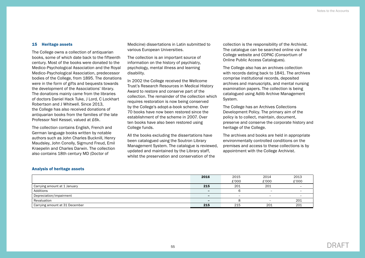#### 15 Heritage assets

The College owns a collection of antiquarian books, some of which date back to the fifteenth century. Most of the books were donated to the Medico-Psychological Association and the Royal Medico-Psychological Association, predecessor bodies of the College, from 1895. The donations were in the form of gifts and bequests towards the development of the Associations' library. The donations mainly came from the libraries of doctors Daniel Hack Tuke, J Lord, C Lockhart Robertson and J Whitwell. Since 2013, the College has also received donations of antiquarian books from the families of the late Professor Neil Kessel, valued at £6k.

The collection contains English, French and German language books written by notable authors such as John Charles Bucknill, Henry Maudsley, John Conolly, Sigmund Freud, Emil Kraepelin and Charles Darwin. The collection also contains 18th century MD (Doctor of

Medicine) dissertations in Latin submitted to various European Universities.

The collection is an important source of information on the history of psychiatry, psychology, mental illness and learning disability.

In 2002 the College received the Wellcome Trust's Research Resources in Medical History Award to restore and conserve part of the collection. The remainder of the collection which requires restoration is now being conserved by the College's adopt-a-book scheme. Over 70 books have now been restored since the establishment of the scheme in 2007. Over ten books have also been restored using College funds.

All the books excluding the dissertations have been catalogued using the Soutron Library Management System. The catalogue is reviewed, updated and maintained by the Library staff, whilst the preservation and conservation of the

collection is the responsibility of the Archivist. The catalogue can be searched online via the College website and COPAC (Consortium of Online Public Access Catalogues).

The College also has an archives collection with records dating back to 1841. The archives comprise institutional records, deposited archives and manuscripts, and mental nursing examination papers. The collection is being catalogued using Adlib Archive Management System.

The College has an Archives Collections Development Policy. The primary aim of the policy is to collect, maintain, document, preserve and conserve the corporate history and heritage of the College.

The archives and books are held in appropriate environmentally controlled conditions on the premises and access to these collections is by appointment with the College Archivist.

|                                | 2016                     | 2015  | 2014                     | 2013                     |
|--------------------------------|--------------------------|-------|--------------------------|--------------------------|
|                                |                          | £'000 | £'000                    | £'000                    |
| Carrying amount at 1 January   | 215                      | 201   | 201                      | $-$                      |
| Additions                      | -                        |       | $\overline{\phantom{0}}$ |                          |
| Depreciation/impairment        | $\overline{\phantom{0}}$ | -     | $\overline{\phantom{0}}$ | $\overline{\phantom{0}}$ |
| Revaluation                    | $\overline{\phantom{0}}$ |       |                          | 201                      |
| Carrying amount at 31 December | 215                      | 215   | 201                      | 201                      |

#### Analysis of heritage assets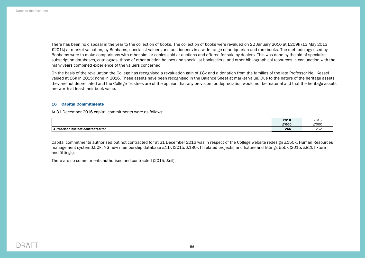There has been no disposal in the year to the collection of books. The collection of books were revalued on 22 January 2016 at £209k (13 May 2013 £201k) at market valuation, by Bonhams, specialist valuers and auctioneers in a wide range of antiquarian and rare books. The methodology used by Bonhams were to make comparisons with other similar copies sold at auctions and offered for sale by dealers. This was done by the aid of specialist subscription databases, catalogues, those of other auction houses and specialist booksellers, and other bibliographical resources in conjunction with the many years combined experience of the valuers concerned.

On the basis of the revaluation the College has recognised a revaluation gain of £8k and a donation from the families of the late Professor Neil Kessel valued at £6k in 2015; none in 2016. These assets have been recognised in the Balance Sheet at market value. Due to the nature of the heritage assets they are not depreciated and the College Trustees are of the opinion that any provision for depreciation would not be material and that the heritage assets are worth at least their book value.

#### 16 Capital Commitments

At 31 December 2016 capital commitments were as follows:

|                                   | 2016  | 2015          |
|-----------------------------------|-------|---------------|
|                                   | £'000 | £'000         |
| Authorised but not contracted for | 266   | $\sim$<br>202 |

Capital commitments authorised but not contracted for at 31 December 2016 was in respect of the College website redesign £150k, Human Resources management system £50k, NG new membership database £11k (2015: £180k IT related projects) and fixture and fittings £55k (2015: £82k fixture and fittings).

There are no commitments authorised and contracted (2015: £nil).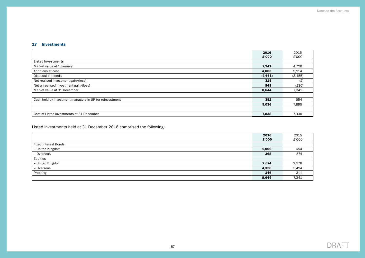# 17 Investments

|                                                         | 2016    | 2015     |
|---------------------------------------------------------|---------|----------|
|                                                         | £'000   | £'000    |
| <b>Listed Investments</b>                               |         |          |
| Market value at 1 January                               | 7.341   | 4,720    |
| Additions at cost                                       | 4,803   | 5,914    |
| Disposal proceeds                                       | (4,663) | (3, 155) |
| Net realised investment gain/(loss)                     | 315     | (2)      |
| Net unrealised investment gain/(loss)                   | 848     | (136)    |
| Market value at 31 December                             | 8,644   | 7,341    |
|                                                         |         |          |
| Cash held by investment managers in UK for reinvestment | 392     | 554      |
|                                                         | 9,036   | 7,895    |
|                                                         |         |          |
| Cost of Listed investments at 31 December               | 7,838   | 7,330    |

Listed investments held at 31 December 2016 comprised the following:

|                             | 2016  | 2015  |
|-----------------------------|-------|-------|
|                             | £'000 | £'000 |
| <b>Fixed Interest Bonds</b> |       |       |
| - United Kingdom            | 1,006 | 654   |
| - Overseas                  | 368   | 574   |
| Equities                    |       |       |
| - United Kingdom            | 2,674 | 2,378 |
| - Overseas                  | 4,350 | 3,424 |
| Property                    | 246   | 311   |
|                             | 8,644 | 7,341 |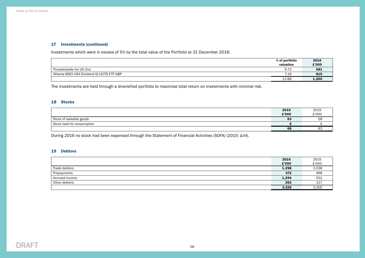# 17 Investments (continued)

Investments which were in excess of 5% by the total value of the Portfolio at 31 December 2016:

|                                            | % of portfolio | 2016  |
|--------------------------------------------|----------------|-------|
|                                            | valuation      | £'000 |
| Threadneedle Inv UK Zna                    | 6.72           | 581   |
| iShares MSCI USA Dividend IQ UCITS ETF GBP | 7.16           | 619   |
|                                            | 13.88          | 1,200 |

The investments are held through a diversified portfolio to maximise total return on investments with minimal risk.

#### 18 Stocks

|                            | 2016  | 2015     |
|----------------------------|-------|----------|
|                            | £'000 | £'000    |
| Stock of saleable goods    | 63    | 58       |
| Stock held for consumption |       |          |
|                            | 68    | ~~<br>◡◡ |

During 2016 no stock had been expensed through the Statement of Financial Activities (SOFA) (2015: £nil).

#### 19 Debtors

|                | 2016  | 2015  |
|----------------|-------|-------|
|                | £'000 | £'000 |
| Trade debtors  | 1,298 | 2,038 |
| Prepayments    | 472   | 498   |
| Accrued income | 1,294 | 552   |
| Other debtors  | 262   | 217   |
|                | 3,326 | 3,305 |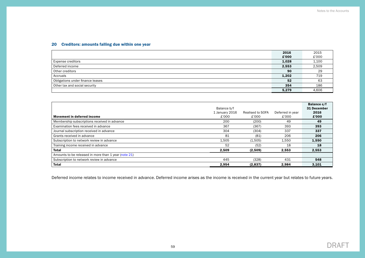# <span id="page-60-0"></span>20 Creditors: amounts falling due within one year

|                                  | 2016  | 2015  |
|----------------------------------|-------|-------|
|                                  | £'000 | £'000 |
| <b>Expense creditors</b>         | 1,028 | 1,100 |
| Deferred income                  | 2,553 | 2,509 |
| Other creditors                  | 90    | 29    |
| Accruals                         | 1,202 | 719   |
| Obligations under finance leases | 52    | 63    |
| Other tax and social security    | 354   | 186   |
|                                  | 5,279 | 4,606 |

| <b>Movement in deferred income</b>                   | Balance b/f<br>1 January 2016<br>£'000 | Realised to SOFA<br>£'000 | Deferred in year<br>£'000 | Balance c/f<br>31 December<br>2016<br>£'000 |
|------------------------------------------------------|----------------------------------------|---------------------------|---------------------------|---------------------------------------------|
| Membership subscriptions received in advance         | 200                                    | (200)                     | 49                        | 49                                          |
| Examination fees received in advance                 | 367                                    | (367)                     | 393                       | 393                                         |
| Journal subscription received in advance             | 304                                    | (304)                     | 337                       | 337                                         |
| Grants received in advance                           | 81                                     | (81)                      | 206                       | 206                                         |
| Subscription to network review in advance            | 1.505                                  | (1,505)                   | 1,550                     | 1,550                                       |
| Training income received in advance                  | 52                                     | (52)                      | 18                        | 18                                          |
| <b>Total</b>                                         | 2,509                                  | (2,509)                   | 2,553                     | 2,553                                       |
| Amounts to be released in more than 1 year (note 21) |                                        |                           |                           |                                             |
| Subscription to network review in advance            | 445                                    | (328)                     | 431                       | 548                                         |
| <b>Total</b>                                         | 2.954                                  | (2,837)                   | 2,984                     | 3,101                                       |

Deferred income relates to income received in advance. Deferred income arises as the income is received in the current year but relates to future years.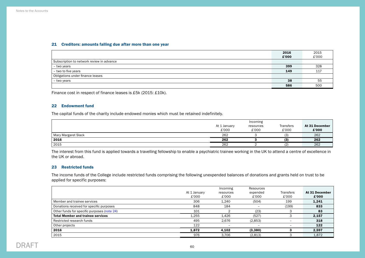#### <span id="page-61-0"></span>21 Creditors: amounts falling due after more than one year

|                                           | 2016  | 2015  |
|-------------------------------------------|-------|-------|
|                                           | £'000 | £'000 |
| Subscription to network review in advance |       |       |
| - two years                               | 399   | 328   |
| - two to five years                       | 149   | 11    |
| Obligations under finance leases          |       |       |
| - two years                               | 38    | 55    |
|                                           | 586   | 500   |

Finance cost in respect of finance leases is £5k (2015: £10k).

#### 22 Endowment fund

The capital funds of the charity include endowed monies which must be retained indefinitely.

|                     | Incoming              |                    |                           |                         |  |
|---------------------|-----------------------|--------------------|---------------------------|-------------------------|--|
|                     | At 1 January<br>£'000 | resources<br>£'000 | <b>Transfers</b><br>£'000 | At 31 December<br>£'000 |  |
| Mary Margaret Slack | 262                   |                    | (3)                       | 262                     |  |
| 2016                | 262                   |                    | (3)                       | 262                     |  |
| 2015                | 262                   |                    | ، ڪ                       | 262                     |  |

The interest from this fund is applied towards a travelling fellowship to enable a psychiatric trainee working in the UK to attend a centre of excellence in the UK or abroad.

#### 23 Restricted funds

The income funds of the College include restricted funds comprising the following unexpended balances of donations and grants held on trust to be applied for specific purposes:

|                                             |              | Incoming  | Resources |                          |                |
|---------------------------------------------|--------------|-----------|-----------|--------------------------|----------------|
|                                             | At 1 January | resources | expended  | <b>Transfers</b>         | At 31 December |
|                                             | £'000        | £'000     | £'000     | £'000                    | £'000          |
| Member and trainee services                 | 306          | 1.240     | (504)     | 199                      | 1,241          |
| Donations received for specific purposes    | 848          | 184       |           | (199)                    | 833            |
| Other funds for specific purposes (note 24) | 101          |           | (23)      |                          | 83             |
| <b>Total Member and trainee services</b>    | 1,255        | 1,426     | (527)     |                          | 2,157          |
| Restricted research funds                   | 495          | 2.676     | (2,853)   | $\overline{\phantom{0}}$ | 318            |
| Other projects                              | 122          |           |           |                          | 122            |
| 2016                                        | 1,872        | 4,102     | (3,380)   |                          | 2,597          |
| 2015                                        | 976          | 3,706     | (2,813)   |                          | 1,872          |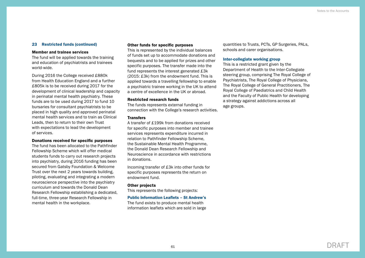#### 23 Restricted funds (continued)

#### Member and trainee services

The fund will be applied towards the training and education of psychiatrists and trainees world-wide.

During 2016 the College received £880k from Health Education England and a further £805k is to be received during 2017 for the development of clinical leadership and capacity in perinatal mental health psychiatry. These funds are to be used during 2017 to fund 10 bursaries for consultant psychiatrists to be placed in high quality and approved perinatal mental health services and to train as Clinical Leads, then to return to their own Trust with expectations to lead the development of services.

#### Donations received for specific purposes

The fund has been allocated to the Pathfinder Fellowship Scheme which will offer medical students funds to carry out research projects into psychiatry, during 2016 funding has been secured from Gatsby Foundation & Welcome Trust over the next 2 years towards building, piloting, evaluating and integrating a modern neuroscience perspective into the psychiatry curriculum and towards the Donald Dean Research Fellowship establishing a dedicated, full-time, three-year Research Fellowship in mental health in the workplace.

#### Other funds for specific purposes

This is represented by the individual balances of funds set up to accommodate donations and bequests and to be applied for prizes and other specific purposes. The transfer made into the fund represents the interest generated £3k (2015: £3k) from the endowment fund. This is applied towards a travelling fellowship to enable a psychiatric trainee working in the UK to attend a centre of excellence in the UK or abroad.

#### Restricted research funds

The funds represents external funding in connection with the College's research activities.

#### **Transfers**

A transfer of £199k from donations received for specific purposes into member and trainee services represents expenditure incurred in relation to Pathfinder Fellowship Scheme, the Sustainable Mental Health Programme, the Donald Dean Research Fellowship and Neuroscience in accordance with restrictions in donations.

Incoming transfer of £3k into other funds for specific purposes represents the return on endowment fund.

#### Other projects

This represents the following projects:

# Public Information Leaflets – St Andrew's

The fund exists to produce mental health information leaflets which are sold in large quantities to Trusts, PCTs, GP Surgeries, PALs, schools and carer organisations.

#### Inter-collegiate working group

This is a restricted grant given by the Department of Health to the Inter-Collegiate steering group, comprising The Royal College of Psychiatrists, The Royal College of Physicians, The Royal College of General Practitioners, The Royal College of Paediatrics and Child Health and the Faculty of Public Health for developing a strategy against addictions across all age groups.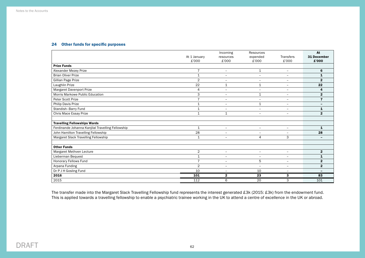# 24 Other funds for specific purposes

|                                                   | At 1 January<br>£'000 | Incoming<br>resources<br>£'000 | Resources<br>expended<br>£'000 | Transfers<br>£'000       | At<br>31 December<br>£'000 |
|---------------------------------------------------|-----------------------|--------------------------------|--------------------------------|--------------------------|----------------------------|
| <b>Prize Funds</b>                                |                       |                                |                                |                          |                            |
| Alexander Mezey Prize                             | $\overline{7}$        | $\overline{\phantom{a}}$       | 1                              | $\overline{\phantom{a}}$ | 6                          |
| <b>Brian Oliver Prize</b>                         | $\mathbf{1}$          | $\qquad \qquad$                | ۳                              | $\qquad \qquad$          | 1                          |
| Gillian Page Prize                                | $\overline{2}$        | $\overline{\phantom{m}}$       | $\overline{\phantom{a}}$       | $\overline{\phantom{a}}$ | $\mathbf{2}$               |
| Laughlin Prize                                    | 22                    | $\mathbf 1$                    | $\mathbf{1}$                   | $\overline{\phantom{a}}$ | 22                         |
| Margaret Davenport Prize                          | 4                     | $\overline{\phantom{a}}$       | $\overline{\phantom{a}}$       | $\overline{\phantom{a}}$ | 4                          |
| <b>Morris Markowe Public Education</b>            | 3                     | $\overline{\phantom{a}}$       | 1                              | $\overline{\phantom{a}}$ | $\mathbf{2}$               |
| Peter Scott Prize                                 | $\overline{7}$        | $\qquad \qquad -$              | $\equiv$                       | $\overline{\phantom{m}}$ | $\overline{\mathbf{r}}$    |
| Philip Davis Prize                                | $\mathbf{1}$          | $\overline{\phantom{m}}$       | $\mathbf{1}$                   | $\overline{\phantom{a}}$ |                            |
| Standish-Barry Fund                               | 1                     | $\overline{\phantom{m}}$       | $\overline{\phantom{a}}$       | $\overline{\phantom{a}}$ | 1                          |
| Chris Mace Essay Prize                            | $\mathbf{1}$          | $\mathbf{1}$                   | $\equiv$                       | $\equiv$                 | $\overline{2}$             |
|                                                   |                       |                                |                                |                          |                            |
| <b>Travelling Fellowships Wards</b>               |                       |                                |                                |                          |                            |
| Ferdinande Johanna Kanjilal Travelling Fellowship | $\mathbf{1}$          | $\qquad \qquad -$              | $\overline{\phantom{m}}$       | $\overline{\phantom{a}}$ | $\mathbf{1}$               |
| John Hamilton Travelling Fellowship               | 28                    | $\overline{\phantom{a}}$       |                                | $\overline{\phantom{0}}$ | 28                         |
| Margaret Slack Travelling Fellowship              | 1                     | $\overline{\phantom{a}}$       | $\overline{4}$                 | 3                        |                            |
|                                                   |                       |                                |                                |                          |                            |
| <b>Other Funds</b>                                |                       |                                |                                |                          |                            |
| Margaret Methven Lecture                          | $\overline{2}$        | $-$                            | $\overline{\phantom{a}}$       | $\overline{\phantom{a}}$ | $\mathbf{2}$               |
| Lieberman Bequest                                 | $\mathbf{1}$          | $\overline{\phantom{a}}$       | $\overline{\phantom{0}}$       | $\overline{\phantom{a}}$ | 1                          |
| Honorary Fellows Fund                             | $\overline{7}$        | $\overline{\phantom{a}}$       | 5                              | $\overline{\phantom{a}}$ | $\overline{2}$             |
| Arpana Funding                                    | 2                     | $\overline{\phantom{m}}$       | $\qquad \qquad =$              | $\overline{\phantom{m}}$ | $\mathbf{2}$               |
| Dr P J H Gosling Fund                             | 10                    | $\overline{\phantom{m}}$       | 10                             | $\overline{\phantom{m}}$ |                            |
| 2016                                              | 101                   | $\mathbf{2}$                   | 23                             | 3                        | 83                         |
| 2015                                              | 112                   | 6                              | 20                             | 3                        | 101                        |

The transfer made into the Margaret Slack Travelling Fellowship fund represents the interest generated £3k (2015: £3k) from the endowment fund. This is applied towards a travelling fellowship to enable a psychiatric trainee working in the UK to attend a centre of excellence in the UK or abroad.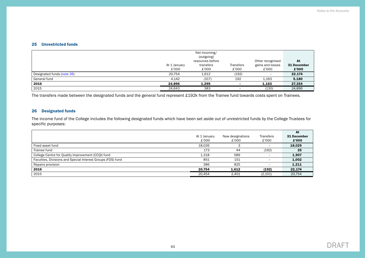#### 25 Unrestricted funds

|                            |              | Net incoming/<br>(outgoing)<br>resources before |           | Other recognised         | At          |
|----------------------------|--------------|-------------------------------------------------|-----------|--------------------------|-------------|
|                            | At 1 January | transfers                                       | Transfers | gains and losses         | 31 December |
|                            | £'000        | £'000                                           | £'000     | £'000                    | £'000       |
| Designated funds (note 26) | 20.754       | 1,612                                           | (192)     | $\overline{\phantom{a}}$ | 22,174      |
| General fund               | 4,142        | (317)                                           | 192       | 1,163                    | 5,180       |
| 2016                       | 24.896       | 1.295                                           |           | 1.163                    | 27,354      |
| 2015                       | 24.643       | 383                                             |           | (130)                    | 24,896      |

The transfers made between the designated funds and the general fund represent £192k from the Trainee fund towards costs spent on Trainees.

# <span id="page-64-0"></span>26 Designated funds

The income fund of the College includes the following designated funds which have been set aside out of unrestricted funds by the College Trustees for specific purposes:

|                                                             |              |                  |                          | At          |
|-------------------------------------------------------------|--------------|------------------|--------------------------|-------------|
|                                                             | At 1 January | New designations | <b>Transfers</b>         | 31 December |
|                                                             | £'000        | £'000            | £'000                    | £'000       |
| Fixed asset fund                                            | 18.026       |                  | $\overline{\phantom{a}}$ | 18,029      |
| Trainee fund                                                | 173          | 44               | (192)                    | 25          |
| College Centre for Quality Improvement (CCQI) fund          | 1,318        | 589              | -                        | 1,907       |
| Faculties, Divisions and Special Interest Groups (FDS) fund | 851          | 151              | $\overline{\phantom{0}}$ | 1,002       |
| Repairs provision                                           | 386          | 825              | -                        | 1,211       |
| 2016                                                        | 20,754       | 1.612            | (192)                    | 22,174      |
| 2015                                                        | 20.454       | 2.401            | (2,101)                  | 20,754      |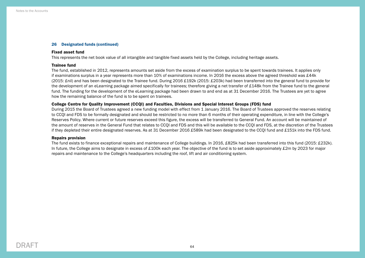#### 26 Designated funds (continued)

#### Fixed asset fund

This represents the net book value of all intangible and tangible fixed assets held by the College, including heritage assets.

#### Trainee fund

The fund, established in 2012, represents amounts set aside from the excess of examination surplus to be spent towards trainees. It applies only if examinations surplus in a year represents more than 10% of examinations income. In 2016 the excess above the agreed threshold was £44k (2015: £nil) and has been designated to the Trainee fund. During 2016 £192k (2015: £203k) had been transferred into the general fund to provide for the development of an eLearning package aimed specifically for trainees; therefore giving a net transfer of £148k from the Trainee fund to the general fund. The funding for the development of the eLearning package had been drawn to and end as at 31 December 2016. The Trustees are yet to agree how the remaining balance of the fund is to be spent on trainees.

#### College Centre for Quality Improvement (CCQI) and Faculties, Divisions and Special Interest Groups (FDS) fund

During 2015 the Board of Trustees agreed a new funding model with effect from 1 January 2016. The Board of Trustees approved the reserves relating to CCQI and FDS to be formally designated and should be restricted to no more than 6 months of their operating expenditure, in line with the College's Reserves Policy. Where current or future reserves exceed this figure, the excess will be transferred to General Fund. An account will be maintained of the amount of reserves in the General Fund that relates to CCQI and FDS and this will be available to the CCQI and FDS, at the discretion of the Trustees if they depleted their entire designated reserves. As at 31 December 2016 £589k had been designated to the CCQI fund and £151k into the FDS fund.

#### Repairs provision

The fund exists to finance exceptional repairs and maintenance of College buildings. In 2016, £825k had been transferred into this fund (2015: £232k). In future, the College aims to designate in excess of £100k each year. The objective of the fund is to set aside approximately £2m by 2023 for major repairs and maintenance to the College's headquarters including the roof, lift and air conditioning system.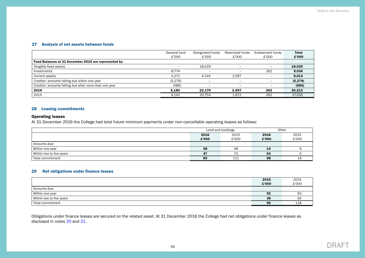# 27 Analysis of net assets between funds

|                                                        | General fund | Designated funds         | Restricted funds         | Endowment funds          | <b>Total</b> |
|--------------------------------------------------------|--------------|--------------------------|--------------------------|--------------------------|--------------|
|                                                        | £'000        | £'000                    | £'000                    | £'000                    | £'000        |
| Fund Balances at 31 December 2016 are represented by:  |              |                          |                          |                          |              |
| Tangible fixed assets                                  |              | 18.029                   |                          | -                        | 18.029       |
| Investments                                            | 8.774        | $\overline{\phantom{0}}$ |                          | 262                      | 9,036        |
| Current assets                                         | 2.271        | 4.145                    | 2.597                    | $\overline{\phantom{0}}$ | 9,013        |
| Creditor: amounts falling due within one year          | (5, 279)     |                          |                          |                          | (5, 279)     |
| Creditor: amounts falling due after more than one year | (586)        | $\overline{\phantom{0}}$ | $\overline{\phantom{0}}$ | -                        | (586)        |
| 2016                                                   | 5.180        | 22.174                   | 2.597                    | 262                      | 30,213       |
| 2015                                                   | 4.142        | 20.754                   | 1,872                    | 262                      | 27.030       |

#### 28 Leasing commitments

# Operating leases

At 31 December 2016 the College had total future minimum payments under non-cancellable operating leases as follows:

|                          | Land and buildings |       | Other |       |
|--------------------------|--------------------|-------|-------|-------|
|                          | 2016               | 2015  | 2016  | 2015  |
|                          | £'000              | £'000 | £'000 | £'000 |
| Amounts due:             |                    |       |       |       |
| Within one year          | 38                 | 38    | 14    |       |
| Within two to five years | 47                 | 73    | 54    |       |
| Total commitment         | 85                 | 111   | 68    |       |

#### 29 Net obligations under finance leases

|                          | 2016  | 2015  |
|--------------------------|-------|-------|
|                          | £'000 | £'000 |
| Amounts due:             |       |       |
| Within one year          | 52    | 63    |
| Within two to five years | 38    | 55    |
| Total commitment         | 90    | 118   |

Obligations under finance leases are secured on the related asset. At 31 December 2016 the College had net obligations under finance leases as disclosed in notes [20](#page-60-0) and [21](#page-61-0).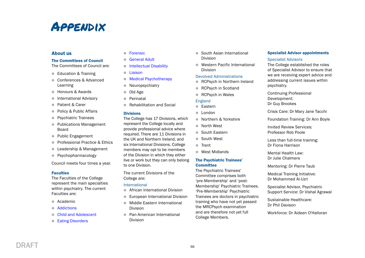# **APPENDIX**

# About us

#### The Committees of Council

The Committees of Council are:

- Education & Training
- **Conferences & Advanced** Learning
- **Exercise Bonours & Awards**
- **International Advisory**
- **Patient & Carer**
- Policy & Public Affairs
- **Psychiatric Trainees**
- Publications Management Board
- Public Engagement
- **Professional Practice & Ethics**
- Leadership & Management
- **•** Psychopharmacology

Council meets four times a year.

#### **Faculties**

The Faculties of the College represent the main specialties within psychiatry. The current Faculties are:

- Academic
- [Addictions](http://www.rcpsych.ac.uk/workinpsychiatry/faculties/addictions.aspx)
- [Child and Adolescent](http://www.rcpsych.ac.uk/workinpsychiatry/faculties/childandadolescent.aspx)
- **[Eating Disorders](http://www.rcpsych.ac.uk/workinpsychiatry/faculties/eatingdisorders.aspx)**
- [Forensic](http://www.rcpsych.ac.uk/workinpsychiatry/faculties/forensic.aspx)
- **[General Adult](http://www.rcpsych.ac.uk/workinpsychiatry/faculties/generaladultpsychiatry.aspx)**
- **[Intellectual Disability](http://www.rcpsych.ac.uk/workinpsychiatry/faculties/intellectualdisability.aspx)**
- [Liaison](http://www.rcpsych.ac.uk/workinpsychiatry/faculties/liaison.aspx)
- **[Medical Psychotherapy](http://www.rcpsych.ac.uk/workinpsychiatry/faculties/medicalpsychotherapy.aspx)**
- $\bullet$  Neuropsychiatry
- Old Age
- **Perinatal**
- **Rehabilitation and Social**

#### **Divisions**

The College has 17 Divisions, which represent the College locally and provide professional advice where required. There are 11 Divisions in the UK and Northern Ireland, and six International Divisions. College members may opt to be members of the Division in which they either live or work but they can only belong to one Division.

The current Divisions of the College are:

#### International

- **African International Division**
- **European International Division**
- **Middle Eastern International** Division
- **Pan-American International** Division
- South Asian International Division
- Western Pacific International Division

#### Devolved Administrations

- **RCPsych in Northern Ireland**
- RCPsych in Scotland
- RCPsych in Wales

#### England

- **C** Eastern
- l London
- **Northern & Yorkshire**
- **North West**
- **Couth Eastern**
- South West
- **Trent**
- **West Midlands**

#### The Psychiatric Trainees' **Committee**

The Psychiatric Trainees' Committee comprises both 'pre-Membership' and 'post-Membership' Psychiatric Trainees. 'Pre-Membership' Psychiatric Trainees are doctors in psychiatric training who have not yet passed the MRCPsych examination and are therefore not yet full College Members.

#### Specialist Advisor appointments

#### Specialist Advisors

The College established the roles of Specialist Advisor to ensure that we are receiving expert advice and addressing current issues within psychiatry.

Continuing Professional Development: Dr Guy Brookes

Crisis Care: Dr Mary Jane Tacchi

Foundation Training: Dr Ann Boyle

Invited Review Services: Professor Rob Poole

Less than full-time training: Dr Fiona Harrison

Mental Health Law: Dr Julie Chalmers

Mentoring: Dr Pierre Taub

Medical Training Initiative: Dr Mohammed Al-Uzri

Specialist Advisor, Psychiatric Support Service: Dr Vishal Agrawal

Sustainable Healthcare: Dr Phil Davison

Workforce: Dr Aideen O'Halloran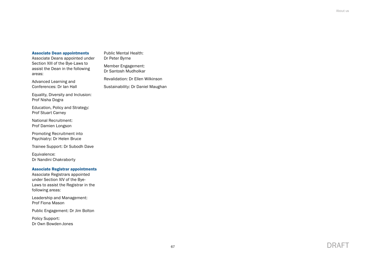#### Associate Dean appointments

Associate Deans appointed under Section XIII of the Bye-Laws to assist the Dean in the following areas:

Advanced Learning and Conferences: Dr Ian Hall

Equality, Diversity and Inclusion: Prof Nisha Dogra

Education, Policy and Strategy: Prof Stuart Carney

National Recruitment: Prof Damien Longson

Promoting Recruitment into Psychiatry: Dr Helen Bruce

Trainee Support: Dr Subodh Dave

Equivalence: Dr Nandini Chakraborty

#### Associate Registrar appointments

Associate Registrars appointed under Section XIV of the Bye-Laws to assist the Registrar in the following areas:

Leadership and Management: Prof Fiona Mason

Public Engagement: Dr Jim Bolton

Policy Support: Dr Own Bowden-Jones Member Engagement: Dr Santosh Mudholkar Revalidation: Dr Ellen Wilkinson Sustainability: Dr Daniel Maughan

Public Mental Health: Dr Peter Byrne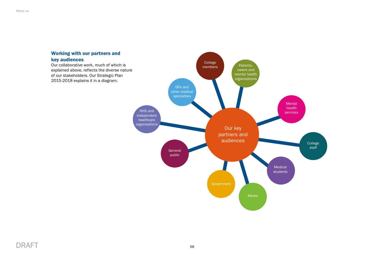

# DRAFT 68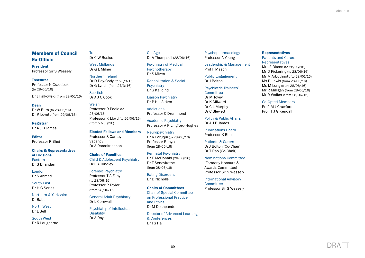# Members of Council Ex-Officio

President Professor Sir S Wessely

#### Treasurer

Professor N Craddock (to 28/06/16)

Dr J Falkowski (from 28/06/16)

#### Dean

Dr W Burn (to 28/06/16) Dr K Lovett (from 29/06/16)

Registrar Dr A J B James

Editor Professor K Bhui

# Chairs & Representatives

of Divisions Eastern Dr S Bhandari

London Dr S Ahmad

South East Dr H G Series

Northern & Yorkshire Dr Babu

North West Dr L Sell

South West Dr R Laugharne **Trent** Dr C W Rusius

> West Midlands Dr G L Milner

Northern Ireland Dr D Day-Cody (to 23/3/16) Dr G Lynch (from 24/3/16)

**Scottish** Dr A J C Cook

#### Welsh

Professor R Poole (to 26/06/16) Professor K Lloyd (to 26/06/16) (from 27/06/16)

Elected Fellows and Members Professor S Carney Vacancy Dr A Ramakrishnan

#### Chairs of Faculties Child & Adolescent Psychiatry Dr P A Hindley

Forensic Psychiatry Professor T A Fahy

(to 28/06/16) Professor P Taylor (from 28/06/16)

General Adult Psychiatry Dr L Cornwall

Psychiatry of Intellectual **Disability** Dr A Roy

Old Age Dr A Thompsell (28/06/16)

Psychiatry of Medical Psychotherapy Dr S Mizen

Rehabilitation & Social **Psychiatry** Dr S Kalidindi

Liaison Psychiatry Dr P H L Aitken

Addictions Professor C Drummond

Academic Psychiatry Professor A R Lingford-Hughes

Neuropsychiatry Dr R Faruqui (to 28/06/16) Professor E Joyce (from 28/06/16)

Perinatal Psychiatry Dr E McDonald (28/06/16) Dr T Seneviratne (from 28/06/16)

Eating Disorders Dr D Nicholls

Chairs of Committees

Chair of Special Committee on Professional Practice and Ethics Dr M Deshpande

Director of Advanced Learning & Conferences Dr I S Hall

Psychopharmacology Professor A Young

Leadership & Management Prof F Mason

Public Engagement Dr J Bolton

Psychiatric Trainees'

**Committee** Dr M Tovey Dr K Milward Dr C L Murphy

Dr C Blewett

Policy & Public Affairs Dr A J B James

Publications Board Professor K Bhui

Patients & Carers Dr J Bolton (Co-Chair)

Dr T Rao (Co-Chair) Nominations Committee

(Formerly Honours & Awards Committee) Professor Sir S Wessely

International Advisory **Committee** Professor Sir S Wessely

#### Representatives

Patients and Carers Representatives Mrs E Bitcon (to 28/06/16) Mr D Pickering (to 28/06/16)

Mr M Arbuthnott (to 28/06/16) Ms D Lewis (from 28/06/16) Ms M Long (from 28/06/16) Mr R Milligan (from 28/06/16) Mr R Walker (from 28/06/16)

Co-Opted Members

Prof. M J Crawford Prof. T J G Kendall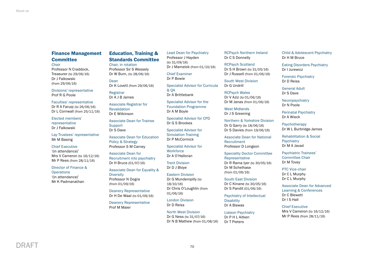# Finance Management **Committee**

#### **Chair**

Professor N Craddock, Treasurer (to 29/06/16) Dr J Falkowski (from 29/06/16)

Divisions' representative Prof R G Poole

Faculties' representative Dr R A Faruqi (to 26/06/16) Dr L Cornwall (from 25/11/16)

Elected members' representative Dr J Falkowski

Lay Trustees' representative Mr M Basing

Chief Executive '(in attendance)'

Mrs V Cameron (to 16/12/16) Mr P Rees (from 28/11/16)

Director of Finance & **Operations** '(in attendance)' Mr K Padmanathan

# Education, Training & Standards Committee

Chair, in rotation Professor Sir S Wessely Dr W Burn, (to 28/06/16)

Dean Dr K Lovett (from 29/06/16)

Registrar Dr A J B James

Associate Registrar for

Revalidation Dr E Wilkinson

Associate Dean for Trainee Support Dr S Dave

Associate Dean for Education

Policy & Strategy Professor S M Carney

Associate Dean for Recruitment into psychiatry Dr H Bruce (01/07/16)

#### Associate Dean for Equality & **Diversity** Professor N Dogra

Deanery Representative Dr H De Waal (to 01/09/16)

(from 01/09/16)

Deanery Representative Prof M Maier

Lead Dean for Psychiatry Professor J Hayden (to 31/09/16) Dr J Mamelok (from 01/10/16)

Chief Examiner Dr P Bowie

Specialist Advisor for Curricula & QA

Dr A Brittlebank

Specialist Advisor for the Foundation Programme Dr A M Boyle

Specialist Advisor for CPD Dr G S Brookes

Specialist Advisor for Simulation Training Dr P McCormick

Specialist Advisor for **Workforce** Dr A O'Halloran

Trent Division Dr D J Bloye

Eastern Division Dr G Mundempilly (to 18/10/16) Dr Chris O'Loughlin (from 01/06/16)

London Division Dr D Reiss

North West Division Dr G Ness (to 31/07/16) Dr N B Mathew (from 01/08/16) RCPsych Northern Ireland Dr C S Donnelly

RCPsych Scotland Dr S H Brown (to 31/05/16) Dr J Russell (from 01/06/16)

South West Division Dr G Undrill

RCPsych Wales Dr V Aziz (to 01/06/16) Dr M Janas (from 01/06/16)

West Midlands Dr J S Greening

Northern & Yorkshire Division Dr G Garry (to 18/06/16) Dr S Davies (from 19/06/16)

Associate Dean for National Recruitment Professor D Longson

Speciality Doctor Committee Representative Dr R Rama Iyer (to 30/05/16) Dr M Schelhase (from 01/06/16)

South East Division Dr C Kinane (to 30/05/16) Dr S Pandit (01/06/16)

Psychiatry of Intellectual **Disability** Dr A Biswas

Liaison Psychiatry Dr P H L Aitken Dr T Pieters

Child & Adolescent Psychiatry Dr H M Bruce

Eating Disorders Psychiatry Dr I Jurewicz

Forensic Psychiatry Dr D Reiss

General Adult Dr S Dave

**Neuropsychiatry** Dr N Poole

Perinatal Psychiatry Dr A Wieck

**Psychotherapy** Dr W L Burbridge-James

Rehabilitation & Social **Psychiatry** Dr M A Javad

Psychiatric Trainees' Committee Chair Dr M Tovey

PTC Vice-chair Dr C L Murphy Dr C L Murphy

Associate Dean for Advanced Learning & Conferences Dr C Blewett Dr I S Hall

Chief Executive Mrs V Cameron (to 16/12/16) Mr P Rees (from 28/11/16)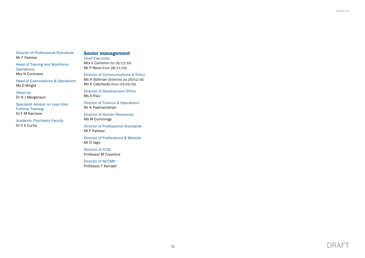About us

Director of Professional Standards Mr F Palekar

Head of Training and Workforce **Operations** Mrs N Cochrane

Head of Examinations & Operations Ms D Wright

**Observer** Dr N J Margerison

Specialist Advisor on Less than Fulltime Training Dr F M Harrison

Academic Psychiatry Faculty Dr V A Curtis

## Senior management

Chief Executive Mrs V Cameron (to 16/12/16) Mr P Rees (from 28/11/16)

Director of Communications & Policy

Ms K Stillman (Interim) (to 29/02/16) Ms K Catchside (from 03/05/16)

Director of Development Office Ms A Paul

Director of Finance & Operations Mr K Padmanathan

Director of Human Resources Ms M Cummings

Director of Professional Standards Mr F Palekar

Director of Publications & Website Mr D Jago

Director of CCQI Professor M Crawford

Director of NCCMH Professor T Kendall